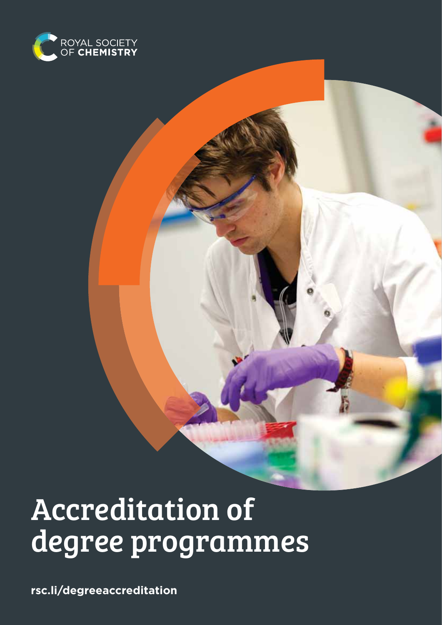

# Accreditation of degree programmes

**rsc.li/degreeaccreditation**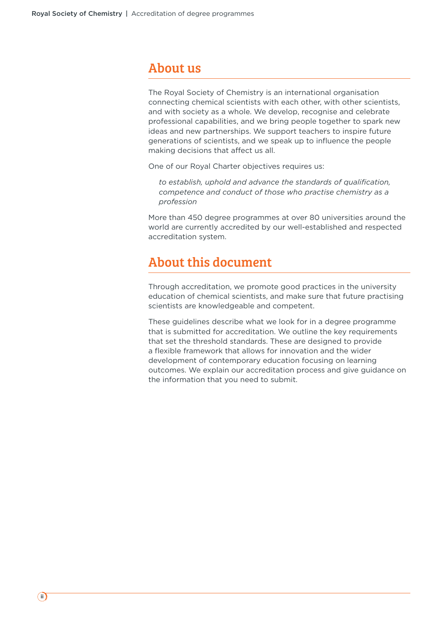### About us

The Royal Society of Chemistry is an international organisation connecting chemical scientists with each other, with other scientists, and with society as a whole. We develop, recognise and celebrate professional capabilities, and we bring people together to spark new ideas and new partnerships. We support teachers to inspire future generations of scientists, and we speak up to influence the people making decisions that affect us all.

One of our Royal Charter objectives requires us:

*to establish, uphold and advance the standards of qualification, competence and conduct of those who practise chemistry as a profession*

More than 450 degree programmes at over 80 universities around the world are currently accredited by our well-established and respected accreditation system.

### About this document

Through accreditation, we promote good practices in the university education of chemical scientists, and make sure that future practising scientists are knowledgeable and competent.

These guidelines describe what we look for in a degree programme that is submitted for accreditation. We outline the key requirements that set the threshold standards. These are designed to provide a flexible framework that allows for innovation and the wider development of contemporary education focusing on learning outcomes. We explain our accreditation process and give guidance on the information that you need to submit.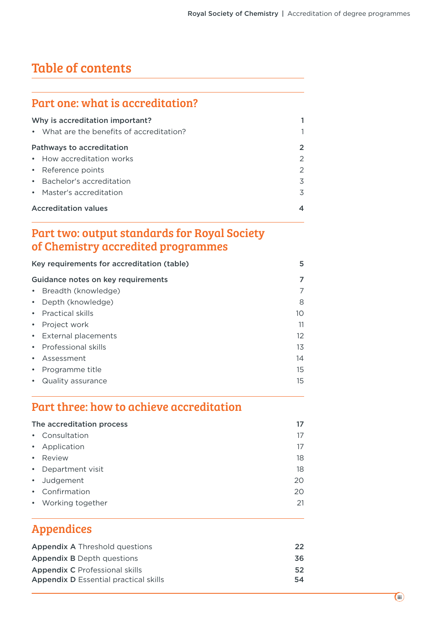# Table of contents

### Part one: what is accreditation?

| Why is accreditation important?           |               |
|-------------------------------------------|---------------|
| • What are the benefits of accreditation? | 1             |
| Pathways to accreditation                 | $\mathbf{2}$  |
| • How accreditation works                 | $\mathcal{P}$ |
| • Reference points                        | 2             |
| • Bachelor's accreditation                | 3             |
| • Master's accreditation                  | 3             |
| <b>Accreditation values</b>               | 4             |

### Part two: output standards for Royal Society of Chemistry accredited programmes

| Key requirements for accreditation (table) | 5  |
|--------------------------------------------|----|
| Guidance notes on key requirements         | 7  |
| • Breadth (knowledge)                      | 7  |
| • Depth (knowledge)                        | 8  |
| • Practical skills                         | 10 |
| • Project work                             | 11 |
| • External placements                      | 12 |
| • Professional skills                      | 13 |
| • Assessment                               | 14 |
| • Programme title                          | 15 |
| Quality assurance                          | 15 |
|                                            |    |

### Part three: how to achieve accreditation

| The accreditation process |    |
|---------------------------|----|
| • Consultation            | 17 |
| • Application             | 17 |
| • Review                  | 18 |
| • Department visit        | 18 |
| • Judgement               | 20 |
| • Confirmation            | 20 |
| • Working together        | 21 |

### Appendices

| <b>Appendix A Threshold questions</b>        | 22 |
|----------------------------------------------|----|
| <b>Appendix B</b> Depth questions            | 36 |
| <b>Appendix C</b> Professional skills        | 52 |
| <b>Appendix D</b> Essential practical skills | 54 |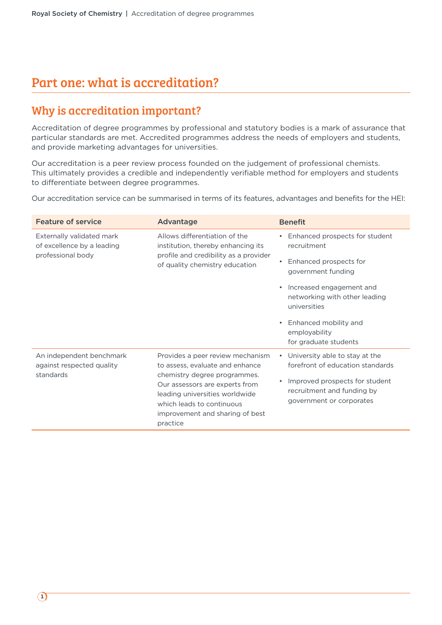# Part one: what is accreditation?

### Why is accreditation important?

Accreditation of degree programmes by professional and statutory bodies is a mark of assurance that particular standards are met. Accredited programmes address the needs of employers and students, and provide marketing advantages for universities.

Our accreditation is a peer review process founded on the judgement of professional chemists. This ultimately provides a credible and independently verifiable method for employers and students to differentiate between degree programmes.

Our accreditation service can be summarised in terms of its features, advantages and benefits for the HEI:

| <b>Feature of service</b>                               | Advantage                                                                                                                                                                    | <b>Benefit</b>                                                                           |
|---------------------------------------------------------|------------------------------------------------------------------------------------------------------------------------------------------------------------------------------|------------------------------------------------------------------------------------------|
| Externally validated mark<br>of excellence by a leading | Allows differentiation of the<br>institution, thereby enhancing its<br>profile and credibility as a provider<br>of quality chemistry education                               | Enhanced prospects for student<br>recruitment                                            |
| professional body                                       |                                                                                                                                                                              | Enhanced prospects for<br>government funding                                             |
|                                                         |                                                                                                                                                                              | • Increased engagement and<br>networking with other leading<br>universities              |
|                                                         |                                                                                                                                                                              | Enhanced mobility and<br>employability<br>for graduate students                          |
| An independent benchmark<br>against respected quality   | Provides a peer review mechanism<br>to assess, evaluate and enhance                                                                                                          | • University able to stay at the<br>forefront of education standards                     |
| standards                                               | chemistry degree programmes.<br>Our assessors are experts from<br>leading universities worldwide<br>which leads to continuous<br>improvement and sharing of best<br>practice | Improved prospects for student<br>recruitment and funding by<br>government or corporates |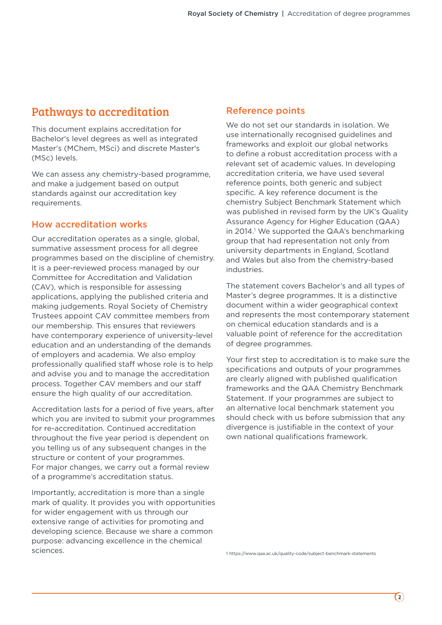### Pathways to accreditation

This document explains accreditation for Bachelor's level degrees as well as integrated Master's (MChem, MSci) and discrete Master's (MSc) levels.

We can assess any chemistry-based programme, and make a judgement based on output standards against our accreditation key requirements.

### How accreditation works

Our accreditation operates as a single, global, summative assessment process for all degree programmes based on the discipline of chemistry. It is a peer-reviewed process managed by our Committee for Accreditation and Validation (CAV), which is responsible for assessing applications, applying the published criteria and making judgements. Royal Society of Chemistry Trustees appoint CAV committee members from our membership. This ensures that reviewers have contemporary experience of university-level education and an understanding of the demands of employers and academia. We also employ professionally qualified staff whose role is to help and advise you and to manage the accreditation process. Together CAV members and our staff ensure the high quality of our accreditation.

Accreditation lasts for a period of five years, after which you are invited to submit your programmes for re-accreditation. Continued accreditation throughout the five year period is dependent on you telling us of any subsequent changes in the structure or content of your programmes. For major changes, we carry out a formal review of a programme's accreditation status.

Importantly, accreditation is more than a single mark of quality. It provides you with opportunities for wider engagement with us through our extensive range of activities for promoting and developing science. Because we share a common purpose: advancing excellence in the chemical sciences.

### Reference points

We do not set our standards in isolation. We use internationally recognised guidelines and frameworks and exploit our global networks to define a robust accreditation process with a relevant set of academic values. In developing accreditation criteria, we have used several reference points, both generic and subject specific. A key reference document is the chemistry Subject Benchmark Statement which was published in revised form by the UK's Quality Assurance Agency for Higher Education (QAA) in 2014.<sup>1</sup> We supported the QAA's benchmarking group that had representation not only from university departments in England, Scotland and Wales but also from the chemistry-based industries.

The statement covers Bachelor's and all types of Master's degree programmes. It is a distinctive document within a wider geographical context and represents the most contemporary statement on chemical education standards and is a valuable point of reference for the accreditation of degree programmes.

Your first step to accreditation is to make sure the specifications and outputs of your programmes are clearly aligned with published qualification frameworks and the QAA Chemistry Benchmark Statement. If your programmes are subject to an alternative local benchmark statement you should check with us before submission that any divergence is justifiable in the context of your own national qualifications framework.

1 https://www.qaa.ac.uk/quality-code/subject-benchmark-statements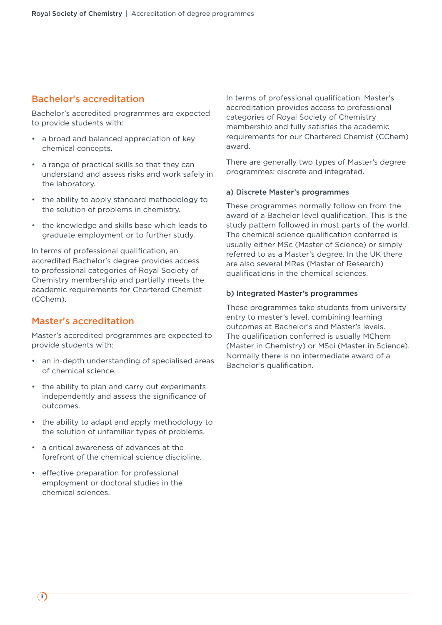### Bachelor's accreditation

Bachelor's accredited programmes are expected to provide students with:

- a broad and balanced appreciation of key chemical concepts.
- a range of practical skills so that they can understand and assess risks and work safely in the laboratory.
- the ability to apply standard methodology to the solution of problems in chemistry.
- the knowledge and skills base which leads to graduate employment or to further study.

In terms of professional qualification, an accredited Bachelor's degree provides access to professional categories of Royal Society of Chemistry membership and partially meets the academic requirements for Chartered Chemist (CChem).

### Master's accreditation

Master's accredited programmes are expected to provide students with:

- an in-depth understanding of specialised areas of chemical science.
- the ability to plan and carry out experiments independently and assess the significance of outcomes.
- the ability to adapt and apply methodology to the solution of unfamiliar types of problems.
- a critical awareness of advances at the forefront of the chemical science discipline.
- effective preparation for professional employment or doctoral studies in the chemical sciences.

In terms of professional qualification, Master's accreditation provides access to professional categories of Royal Society of Chemistry membership and fully satisfies the academic requirements for our Chartered Chemist (CChem) award.

There are generally two types of Master's degree programmes: discrete and integrated.

#### a) Discrete Master's programmes

These programmes normally follow on from the award of a Bachelor level qualification. This is the study pattern followed in most parts of the world. The chemical science qualification conferred is usually either MSc (Master of Science) or simply referred to as a Master's degree. In the UK there are also several MRes (Master of Research) qualifications in the chemical sciences.

#### b) Integrated Master's programmes

These programmes take students from university entry to master's level, combining learning outcomes at Bachelor's and Master's levels. The qualification conferred is usually MChem (Master in Chemistry) or MSci (Master in Science). Normally there is no intermediate award of a Bachelor's qualification.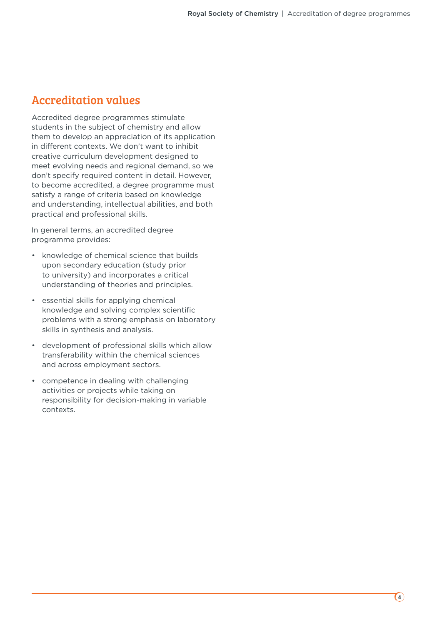### Accreditation values

Accredited degree programmes stimulate students in the subject of chemistry and allow them to develop an appreciation of its application in different contexts. We don't want to inhibit creative curriculum development designed to meet evolving needs and regional demand, so we don't specify required content in detail. However, to become accredited, a degree programme must satisfy a range of criteria based on knowledge and understanding, intellectual abilities, and both practical and professional skills.

In general terms, an accredited degree programme provides:

- knowledge of chemical science that builds upon secondary education (study prior to university) and incorporates a critical understanding of theories and principles.
- essential skills for applying chemical knowledge and solving complex scientific problems with a strong emphasis on laboratory skills in synthesis and analysis.
- development of professional skills which allow transferability within the chemical sciences and across employment sectors.
- competence in dealing with challenging activities or projects while taking on responsibility for decision-making in variable contexts.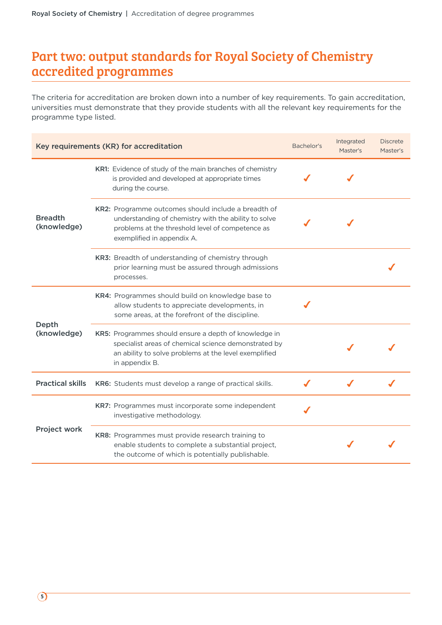# Part two: output standards for Royal Society of Chemistry accredited programmes

The criteria for accreditation are broken down into a number of key requirements. To gain accreditation, universities must demonstrate that they provide students with all the relevant key requirements for the programme type listed.

| Key requirements (KR) for accreditation |                                                                                                                                                                                               | Bachelor's | Integrated<br>Master's | <b>Discrete</b><br>Master's |
|-----------------------------------------|-----------------------------------------------------------------------------------------------------------------------------------------------------------------------------------------------|------------|------------------------|-----------------------------|
|                                         | KR1: Evidence of study of the main branches of chemistry<br>is provided and developed at appropriate times<br>during the course.                                                              |            |                        |                             |
| <b>Breadth</b><br>(knowledge)           | KR2: Programme outcomes should include a breadth of<br>understanding of chemistry with the ability to solve<br>problems at the threshold level of competence as<br>exemplified in appendix A. |            |                        |                             |
|                                         | KR3: Breadth of understanding of chemistry through<br>prior learning must be assured through admissions<br>processes.                                                                         |            |                        |                             |
|                                         | KR4: Programmes should build on knowledge base to<br>allow students to appreciate developments, in<br>some areas, at the forefront of the discipline.                                         |            |                        |                             |
| Depth<br>(knowledge)                    | KR5: Programmes should ensure a depth of knowledge in<br>specialist areas of chemical science demonstrated by<br>an ability to solve problems at the level exemplified<br>in appendix B.      |            |                        |                             |
| <b>Practical skills</b>                 | KR6: Students must develop a range of practical skills.                                                                                                                                       |            |                        |                             |
|                                         | KR7: Programmes must incorporate some independent<br>investigative methodology.                                                                                                               |            |                        |                             |
| Project work                            | KR8: Programmes must provide research training to<br>enable students to complete a substantial project,<br>the outcome of which is potentially publishable.                                   |            |                        |                             |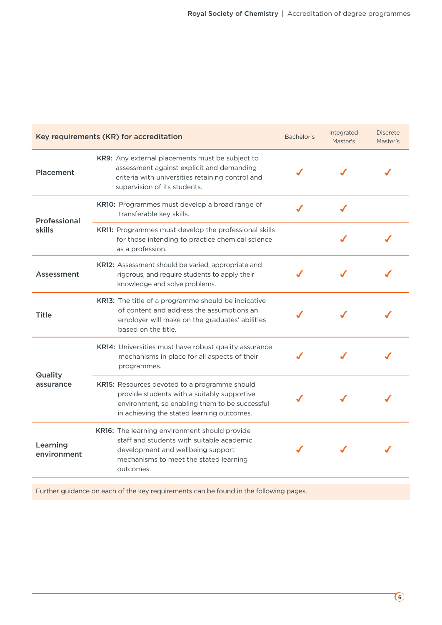| Key requirements (KR) for accreditation |                                                                                                                                                                                              | Bachelor's | Integrated<br>Master's | <b>Discrete</b><br>Master's |
|-----------------------------------------|----------------------------------------------------------------------------------------------------------------------------------------------------------------------------------------------|------------|------------------------|-----------------------------|
| Placement                               | KR9: Any external placements must be subject to<br>assessment against explicit and demanding<br>criteria with universities retaining control and<br>supervision of its students.             |            |                        |                             |
| Professional                            | KR10: Programmes must develop a broad range of<br>transferable key skills.                                                                                                                   |            |                        |                             |
| skills                                  | <b>KR11:</b> Programmes must develop the professional skills<br>for those intending to practice chemical science<br>as a profession.                                                         |            |                        |                             |
| Assessment                              | KR12: Assessment should be varied, appropriate and<br>rigorous, and require students to apply their<br>knowledge and solve problems.                                                         |            |                        |                             |
| Title                                   | KR13: The title of a programme should be indicative<br>of content and address the assumptions an<br>employer will make on the graduates' abilities<br>based on the title.                    |            |                        |                             |
| Quality                                 | KR14: Universities must have robust quality assurance<br>mechanisms in place for all aspects of their<br>programmes.                                                                         |            |                        |                             |
| assurance                               | KR15: Resources devoted to a programme should<br>provide students with a suitably supportive<br>environment, so enabling them to be successful<br>in achieving the stated learning outcomes. |            |                        |                             |
| Learning<br>environment                 | KR16: The learning environment should provide<br>staff and students with suitable academic<br>development and wellbeing support<br>mechanisms to meet the stated learning<br>outcomes.       |            |                        |                             |

Further guidance on each of the key requirements can be found in the following pages.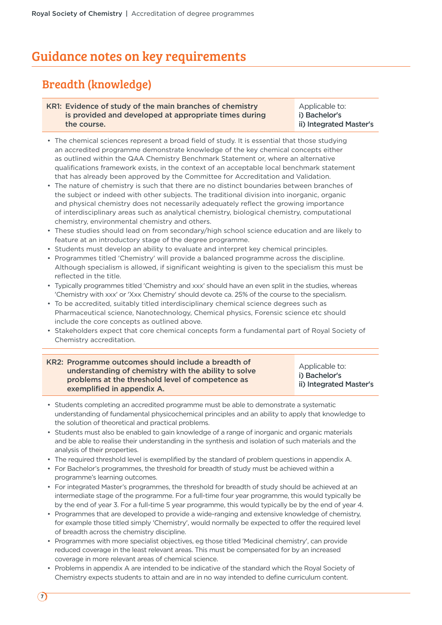### Guidance notes on key requirements

### Breadth (knowledge)

#### KR1: Evidence of study of the main branches of chemistry is provided and developed at appropriate times during the course.

Applicable to: i) Bachelor's ii) Integrated Master's

- The chemical sciences represent a broad field of study. It is essential that those studying an accredited programme demonstrate knowledge of the key chemical concepts either as outlined within the QAA Chemistry Benchmark Statement or, where an alternative qualifications framework exists, in the context of an acceptable local benchmark statement that has already been approved by the Committee for Accreditation and Validation.
- The nature of chemistry is such that there are no distinct boundaries between branches of the subject or indeed with other subjects. The traditional division into inorganic, organic and physical chemistry does not necessarily adequately reflect the growing importance of interdisciplinary areas such as analytical chemistry, biological chemistry, computational chemistry, environmental chemistry and others.
- These studies should lead on from secondary/high school science education and are likely to feature at an introductory stage of the degree programme.
- Students must develop an ability to evaluate and interpret key chemical principles.
- Programmes titled 'Chemistry' will provide a balanced programme across the discipline. Although specialism is allowed, if significant weighting is given to the specialism this must be reflected in the title.
- Typically programmes titled 'Chemistry and xxx' should have an even split in the studies, whereas 'Chemistry with xxx' or 'Xxx Chemistry' should devote ca. 25% of the course to the specialism.
- To be accredited, suitably titled interdisciplinary chemical science degrees such as Pharmaceutical science, Nanotechnology, Chemical physics, Forensic science etc should include the core concepts as outlined above.
- Stakeholders expect that core chemical concepts form a fundamental part of Royal Society of Chemistry accreditation.

| KR2: Programme outcomes should include a breadth of<br>understanding of chemistry with the ability to solve<br>problems at the threshold level of competence as<br>exemplified in appendix A. | Applicable to:<br>i) Bachelor's<br>ii) Integrated Master's |
|-----------------------------------------------------------------------------------------------------------------------------------------------------------------------------------------------|------------------------------------------------------------|
|-----------------------------------------------------------------------------------------------------------------------------------------------------------------------------------------------|------------------------------------------------------------|

- Students completing an accredited programme must be able to demonstrate a systematic understanding of fundamental physicochemical principles and an ability to apply that knowledge to the solution of theoretical and practical problems.
- Students must also be enabled to gain knowledge of a range of inorganic and organic materials and be able to realise their understanding in the synthesis and isolation of such materials and the analysis of their properties.
- The required threshold level is exemplified by the standard of problem questions in appendix A.
- For Bachelor's programmes, the threshold for breadth of study must be achieved within a programme's learning outcomes.
- For integrated Master's programmes, the threshold for breadth of study should be achieved at an intermediate stage of the programme. For a full-time four year programme, this would typically be by the end of year 3. For a full-time 5 year programme, this would typically be by the end of year 4.
- Programmes that are developed to provide a wide-ranging and extensive knowledge of chemistry, for example those titled simply 'Chemistry', would normally be expected to offer the required level of breadth across the chemistry discipline.
- Programmes with more specialist objectives, eg those titled 'Medicinal chemistry', can provide reduced coverage in the least relevant areas. This must be compensated for by an increased coverage in more relevant areas of chemical science.
- Problems in appendix A are intended to be indicative of the standard which the Royal Society of Chemistry expects students to attain and are in no way intended to define curriculum content.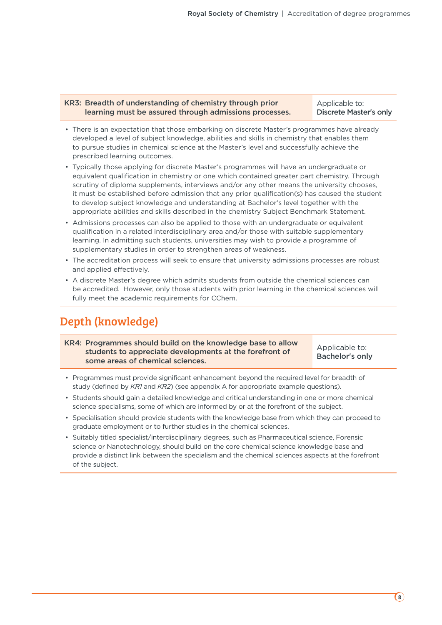#### KR3: Breadth of understanding of chemistry through prior learning must be assured through admissions processes.

Applicable to: Discrete Master's only

- There is an expectation that those embarking on discrete Master's programmes have already developed a level of subject knowledge, abilities and skills in chemistry that enables them to pursue studies in chemical science at the Master's level and successfully achieve the prescribed learning outcomes.
- Typically those applying for discrete Master's programmes will have an undergraduate or equivalent qualification in chemistry or one which contained greater part chemistry. Through scrutiny of diploma supplements, interviews and/or any other means the university chooses, it must be established before admission that any prior qualification(s) has caused the student to develop subject knowledge and understanding at Bachelor's level together with the appropriate abilities and skills described in the chemistry Subject Benchmark Statement.
- Admissions processes can also be applied to those with an undergraduate or equivalent qualification in a related interdisciplinary area and/or those with suitable supplementary learning. In admitting such students, universities may wish to provide a programme of supplementary studies in order to strengthen areas of weakness.
- The accreditation process will seek to ensure that university admissions processes are robust and applied effectively.
- A discrete Master's degree which admits students from outside the chemical sciences can be accredited. However, only those students with prior learning in the chemical sciences will fully meet the academic requirements for CChem.

### Depth (knowledge)

KR4: Programmes should build on the knowledge base to allow students to appreciate developments at the forefront of some areas of chemical sciences.

Applicable to: Bachelor's only

- Programmes must provide significant enhancement beyond the required level for breadth of study (defined by *KR1* and *KR2*) (see appendix A for appropriate example questions).
- Students should gain a detailed knowledge and critical understanding in one or more chemical science specialisms, some of which are informed by or at the forefront of the subject.
- Specialisation should provide students with the knowledge base from which they can proceed to graduate employment or to further studies in the chemical sciences.
- Suitably titled specialist/interdisciplinary degrees, such as Pharmaceutical science, Forensic science or Nanotechnology, should build on the core chemical science knowledge base and provide a distinct link between the specialism and the chemical sciences aspects at the forefront of the subject.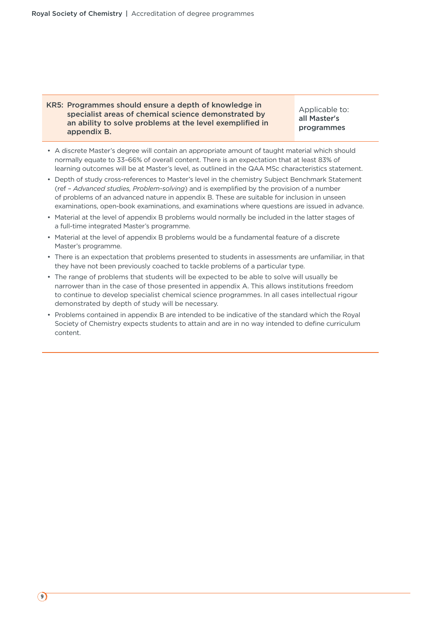#### KR5: Programmes should ensure a depth of knowledge in specialist areas of chemical science demonstrated by an ability to solve problems at the level exemplified in appendix B.

Applicable to: all Master's programmes

- A discrete Master's degree will contain an appropriate amount of taught material which should normally equate to 33–66% of overall content. There is an expectation that at least 83% of learning outcomes will be at Master's level, as outlined in the QAA MSc characteristics statement.
- Depth of study cross-references to Master's level in the chemistry Subject Benchmark Statement (ref – *Advanced studies, Problem-solving*) and is exemplified by the provision of a number of problems of an advanced nature in appendix B. These are suitable for inclusion in unseen examinations, open-book examinations, and examinations where questions are issued in advance.
- Material at the level of appendix B problems would normally be included in the latter stages of a full-time integrated Master's programme.
- Material at the level of appendix B problems would be a fundamental feature of a discrete Master's programme.
- There is an expectation that problems presented to students in assessments are unfamiliar, in that they have not been previously coached to tackle problems of a particular type.
- The range of problems that students will be expected to be able to solve will usually be narrower than in the case of those presented in appendix A. This allows institutions freedom to continue to develop specialist chemical science programmes. In all cases intellectual rigour demonstrated by depth of study will be necessary.
- Problems contained in appendix B are intended to be indicative of the standard which the Royal Society of Chemistry expects students to attain and are in no way intended to define curriculum content.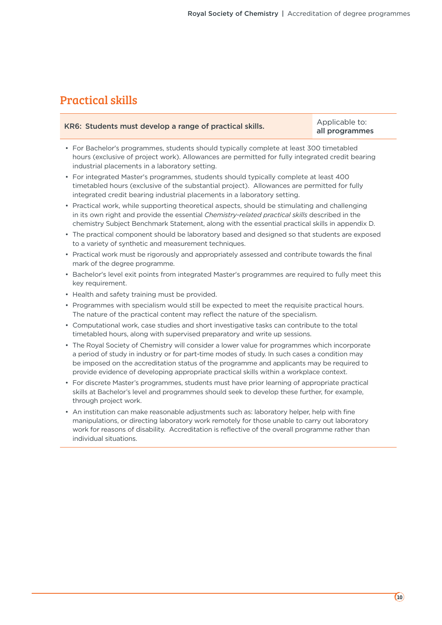### Practical skills

| KR6: Students must develop a range of practical skills. | Applicable to: |
|---------------------------------------------------------|----------------|
|                                                         | all programmes |

- For Bachelor's programmes, students should typically complete at least 300 timetabled hours (exclusive of project work). Allowances are permitted for fully integrated credit bearing industrial placements in a laboratory setting.
- For integrated Master's programmes, students should typically complete at least 400 timetabled hours (exclusive of the substantial project). Allowances are permitted for fully integrated credit bearing industrial placements in a laboratory setting.
- Practical work, while supporting theoretical aspects, should be stimulating and challenging in its own right and provide the essential *Chemistry-related practical skills* described in the chemistry Subject Benchmark Statement, along with the essential practical skills in appendix D.
- The practical component should be laboratory based and designed so that students are exposed to a variety of synthetic and measurement techniques.
- Practical work must be rigorously and appropriately assessed and contribute towards the final mark of the degree programme.
- Bachelor's level exit points from integrated Master's programmes are required to fully meet this key requirement.
- Health and safety training must be provided.
- Programmes with specialism would still be expected to meet the requisite practical hours. The nature of the practical content may reflect the nature of the specialism.
- Computational work, case studies and short investigative tasks can contribute to the total timetabled hours, along with supervised preparatory and write up sessions.
- The Royal Society of Chemistry will consider a lower value for programmes which incorporate a period of study in industry or for part-time modes of study. In such cases a condition may be imposed on the accreditation status of the programme and applicants may be required to provide evidence of developing appropriate practical skills within a workplace context.
- For discrete Master's programmes, students must have prior learning of appropriate practical skills at Bachelor's level and programmes should seek to develop these further, for example, through project work.
- An institution can make reasonable adjustments such as: laboratory helper, help with fine manipulations, or directing laboratory work remotely for those unable to carry out laboratory work for reasons of disability. Accreditation is reflective of the overall programme rather than individual situations.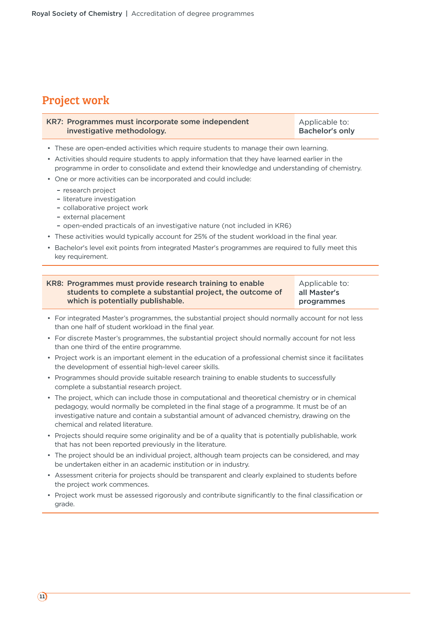### Project work

| KR7: Programmes must incorporate some independent | Applicable to:         |
|---------------------------------------------------|------------------------|
| investigative methodology.                        | <b>Bachelor's only</b> |

- These are open-ended activities which require students to manage their own learning.
- Activities should require students to apply information that they have learned earlier in the programme in order to consolidate and extend their knowledge and understanding of chemistry.
- One or more activities can be incorporated and could include:
	- research project
	- literature investigation
	- collaborative project work
	- external placement
	- open-ended practicals of an investigative nature (not included in KR6)
- These activities would typically account for 25% of the student workload in the final year.
- Bachelor's level exit points from integrated Master's programmes are required to fully meet this key requirement.

| KR8: Programmes must provide research training to enable   | Applicable to: |
|------------------------------------------------------------|----------------|
| students to complete a substantial project, the outcome of | all Master's   |
| which is potentially publishable.                          | programmes     |

- For integrated Master's programmes, the substantial project should normally account for not less than one half of student workload in the final year.
- For discrete Master's programmes, the substantial project should normally account for not less than one third of the entire programme.
- Project work is an important element in the education of a professional chemist since it facilitates the development of essential high-level career skills.
- Programmes should provide suitable research training to enable students to successfully complete a substantial research project.
- The project, which can include those in computational and theoretical chemistry or in chemical pedagogy, would normally be completed in the final stage of a programme. It must be of an investigative nature and contain a substantial amount of advanced chemistry, drawing on the chemical and related literature.
- Projects should require some originality and be of a quality that is potentially publishable, work that has not been reported previously in the literature.
- The project should be an individual project, although team projects can be considered, and may be undertaken either in an academic institution or in industry.
- Assessment criteria for projects should be transparent and clearly explained to students before the project work commences.
- Project work must be assessed rigorously and contribute significantly to the final classification or grade.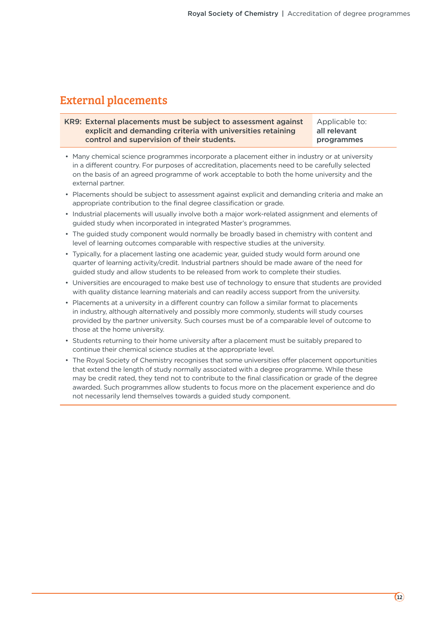### External placements

KR9: External placements must be subject to assessment against explicit and demanding criteria with universities retaining control and supervision of their students. Applicable to: all relevant programmes

- Many chemical science programmes incorporate a placement either in industry or at university in a different country. For purposes of accreditation, placements need to be carefully selected on the basis of an agreed programme of work acceptable to both the home university and the external partner.
- Placements should be subject to assessment against explicit and demanding criteria and make an appropriate contribution to the final degree classification or grade.
- Industrial placements will usually involve both a major work-related assignment and elements of guided study when incorporated in integrated Master's programmes.
- The guided study component would normally be broadly based in chemistry with content and level of learning outcomes comparable with respective studies at the university.
- Typically, for a placement lasting one academic year, guided study would form around one quarter of learning activity/credit. Industrial partners should be made aware of the need for guided study and allow students to be released from work to complete their studies.
- Universities are encouraged to make best use of technology to ensure that students are provided with quality distance learning materials and can readily access support from the university.
- Placements at a university in a different country can follow a similar format to placements in industry, although alternatively and possibly more commonly, students will study courses provided by the partner university. Such courses must be of a comparable level of outcome to those at the home university.
- Students returning to their home university after a placement must be suitably prepared to continue their chemical science studies at the appropriate level.
- The Royal Society of Chemistry recognises that some universities offer placement opportunities that extend the length of study normally associated with a degree programme. While these may be credit rated, they tend not to contribute to the final classification or grade of the degree awarded. Such programmes allow students to focus more on the placement experience and do not necessarily lend themselves towards a guided study component.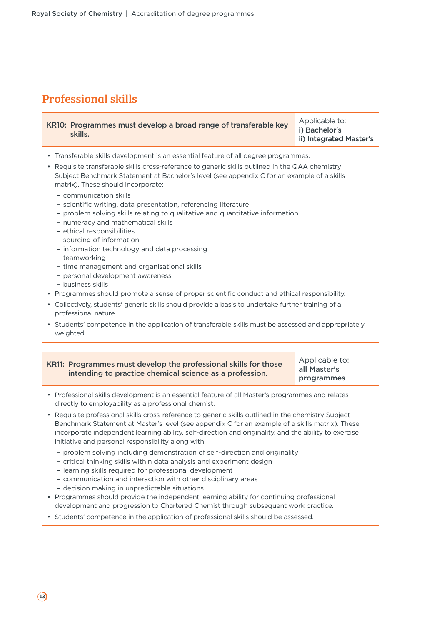### Professional skills

| KR10: Programmes must develop a broad range of transferable key | Applicable to:          |
|-----------------------------------------------------------------|-------------------------|
| skills.                                                         | i) Bachelor's           |
|                                                                 | ii) Integrated Master's |

- Transferable skills development is an essential feature of all degree programmes.
- Requisite transferable skills cross-reference to generic skills outlined in the QAA chemistry Subject Benchmark Statement at Bachelor's level (see appendix C for an example of a skills matrix). These should incorporate:
	- communication skills
	- scientific writing, data presentation, referencing literature
	- problem solving skills relating to qualitative and quantitative information
	- numeracy and mathematical skills
	- ethical responsibilities
	- sourcing of information
	- information technology and data processing
	- teamworking
	- time management and organisational skills
	- personal development awareness
	- business skills
- Programmes should promote a sense of proper scientific conduct and ethical responsibility.
- Collectively, students' generic skills should provide a basis to undertake further training of a professional nature.
- Students' competence in the application of transferable skills must be assessed and appropriately weighted.

| KR11: Programmes must develop the professional skills for those | Applicable to: |  |  |
|-----------------------------------------------------------------|----------------|--|--|
| intending to practice chemical science as a profession.         | all Master's   |  |  |
|                                                                 | programmes     |  |  |

- Professional skills development is an essential feature of all Master's programmes and relates directly to employability as a professional chemist.
- Requisite professional skills cross-reference to generic skills outlined in the chemistry Subject Benchmark Statement at Master's level (see appendix C for an example of a skills matrix). These incorporate independent learning ability, self-direction and originality, and the ability to exercise initiative and personal responsibility along with:
	- problem solving including demonstration of self-direction and originality
	- critical thinking skills within data analysis and experiment design
	- learning skills required for professional development
	- communication and interaction with other disciplinary areas
	- decision making in unpredictable situations
- Programmes should provide the independent learning ability for continuing professional development and progression to Chartered Chemist through subsequent work practice.
- Students' competence in the application of professional skills should be assessed.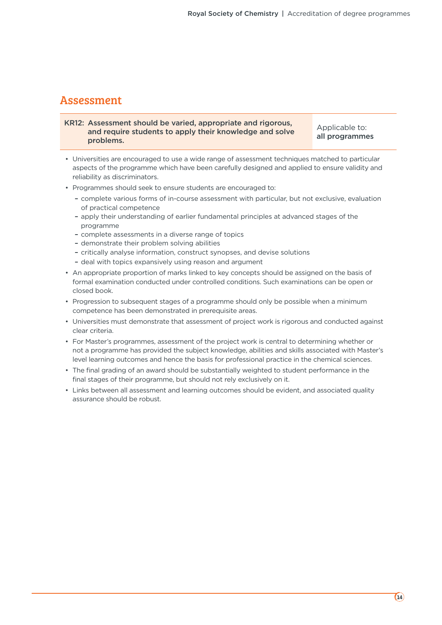### Assessment

#### KR12: Assessment should be varied, appropriate and rigorous, and require students to apply their knowledge and solve problems.

Applicable to: all programmes

- Universities are encouraged to use a wide range of assessment techniques matched to particular aspects of the programme which have been carefully designed and applied to ensure validity and reliability as discriminators.
- Programmes should seek to ensure students are encouraged to:
	- complete various forms of in-course assessment with particular, but not exclusive, evaluation of practical competence
	- apply their understanding of earlier fundamental principles at advanced stages of the programme
	- complete assessments in a diverse range of topics
	- demonstrate their problem solving abilities
	- critically analyse information, construct synopses, and devise solutions
	- deal with topics expansively using reason and argument
- An appropriate proportion of marks linked to key concepts should be assigned on the basis of formal examination conducted under controlled conditions. Such examinations can be open or closed book.
- Progression to subsequent stages of a programme should only be possible when a minimum competence has been demonstrated in prerequisite areas.
- Universities must demonstrate that assessment of project work is rigorous and conducted against clear criteria.
- For Master's programmes, assessment of the project work is central to determining whether or not a programme has provided the subject knowledge, abilities and skills associated with Master's level learning outcomes and hence the basis for professional practice in the chemical sciences.
- The final grading of an award should be substantially weighted to student performance in the final stages of their programme, but should not rely exclusively on it.
- Links between all assessment and learning outcomes should be evident, and associated quality assurance should be robust.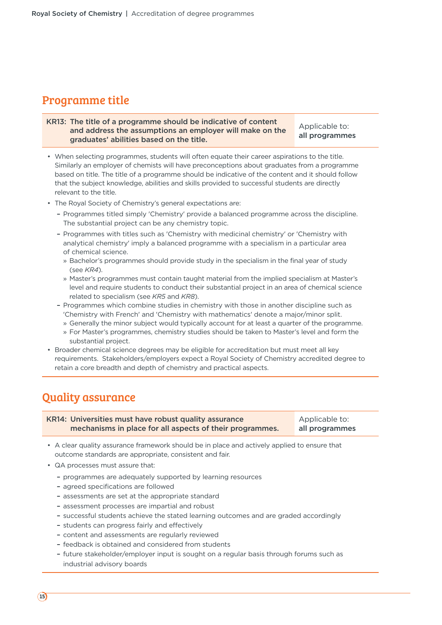### Programme title

#### KR13: The title of a programme should be indicative of content and address the assumptions an employer will make on the graduates' abilities based on the title. Applicable to: all programmes

• When selecting programmes, students will often equate their career aspirations to the title. Similarly an employer of chemists will have preconceptions about graduates from a programme based on title. The title of a programme should be indicative of the content and it should follow that the subject knowledge, abilities and skills provided to successful students are directly relevant to the title.

- The Royal Society of Chemistry's general expectations are:
	- Programmes titled simply 'Chemistry' provide a balanced programme across the discipline. The substantial project can be any chemistry topic.
	- Programmes with titles such as 'Chemistry with medicinal chemistry' or 'Chemistry with analytical chemistry' imply a balanced programme with a specialism in a particular area of chemical science.
		- » Bachelor's programmes should provide study in the specialism in the final year of study (see *KR4*).
		- » Master's programmes must contain taught material from the implied specialism at Master's level and require students to conduct their substantial project in an area of chemical science related to specialism (see *KR5* and *KR8*).
	- Programmes which combine studies in chemistry with those in another discipline such as 'Chemistry with French' and 'Chemistry with mathematics' denote a major/minor split.
		- » Generally the minor subject would typically account for at least a quarter of the programme.
		- » For Master's programmes, chemistry studies should be taken to Master's level and form the substantial project.
- Broader chemical science degrees may be eligible for accreditation but must meet all key requirements. Stakeholders/employers expect a Royal Society of Chemistry accredited degree to retain a core breadth and depth of chemistry and practical aspects.

### Quality assurance

| KR14: Universities must have robust quality assurance    | Applicable to: |
|----------------------------------------------------------|----------------|
| mechanisms in place for all aspects of their programmes. | all programmes |

- A clear quality assurance framework should be in place and actively applied to ensure that outcome standards are appropriate, consistent and fair.
- QA processes must assure that:
	- programmes are adequately supported by learning resources
	- agreed specifications are followed
	- assessments are set at the appropriate standard
	- assessment processes are impartial and robust
	- successful students achieve the stated learning outcomes and are graded accordingly
	- students can progress fairly and effectively
	- content and assessments are regularly reviewed
	- feedback is obtained and considered from students
	- future stakeholder/employer input is sought on a regular basis through forums such as industrial advisory boards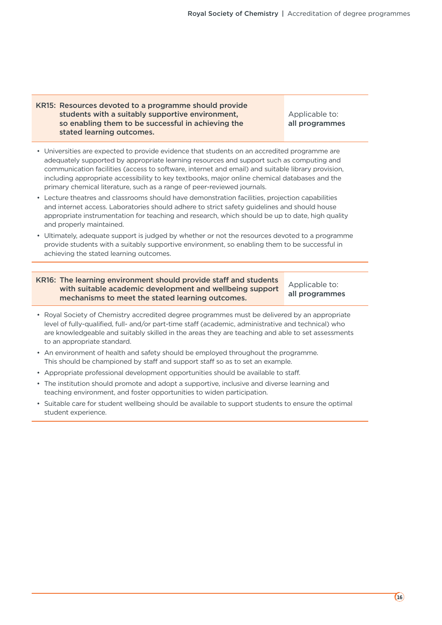#### KR15: Resources devoted to a programme should provide students with a suitably supportive environment, so enabling them to be successful in achieving the stated learning outcomes.

Applicable to: all programmes

- Universities are expected to provide evidence that students on an accredited programme are adequately supported by appropriate learning resources and support such as computing and communication facilities (access to software, internet and email) and suitable library provision, including appropriate accessibility to key textbooks, major online chemical databases and the primary chemical literature, such as a range of peer-reviewed journals.
- Lecture theatres and classrooms should have demonstration facilities, projection capabilities and internet access. Laboratories should adhere to strict safety guidelines and should house appropriate instrumentation for teaching and research, which should be up to date, high quality and properly maintained.
- Ultimately, adequate support is judged by whether or not the resources devoted to a programme provide students with a suitably supportive environment, so enabling them to be successful in achieving the stated learning outcomes.

#### KR16: The learning environment should provide staff and students with suitable academic development and wellbeing support mechanisms to meet the stated learning outcomes.

Applicable to: all programmes

- Royal Society of Chemistry accredited degree programmes must be delivered by an appropriate level of fully-qualified, full- and/or part-time staff (academic, administrative and technical) who are knowledgeable and suitably skilled in the areas they are teaching and able to set assessments to an appropriate standard.
- An environment of health and safety should be employed throughout the programme. This should be championed by staff and support staff so as to set an example.
- Appropriate professional development opportunities should be available to staff.
- The institution should promote and adopt a supportive, inclusive and diverse learning and teaching environment, and foster opportunities to widen participation.
- Suitable care for student wellbeing should be available to support students to ensure the optimal student experience.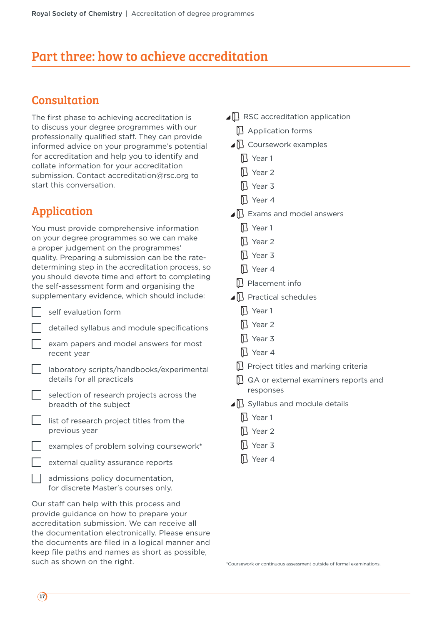### Part three: how to achieve accreditation

### Consultation

The first phase to achieving accreditation is to discuss your degree programmes with our professionally qualified staff. They can provide informed advice on your programme's potential for accreditation and help you to identify and collate information for your accreditation submission. Contact accreditation@rsc.org to start this conversation.

### Application

You must provide comprehensive information on your degree programmes so we can make a proper judgement on the programmes' quality. Preparing a submission can be the ratedetermining step in the accreditation process, so you should devote time and effort to completing the self-assessment form and organising the supplementary evidence, which should include:

- self evaluation form
	- detailed syllabus and module specifications

 exam papers and model answers for most recent year

| aboratory scripts/handbooks/experimental |
|------------------------------------------|
| details for all practicals               |

 selection of research projects across the breadth of the subject

 list of research project titles from the previous year

examples of problem solving coursework\*

external quality assurance reports

 admissions policy documentation, for discrete Master's courses only.

Our staff can help with this process and provide guidance on how to prepare your accreditation submission. We can receive all the documentation electronically. Please ensure the documents are filed in a logical manner and keep file paths and names as short as possible, such as shown on the right.

 $\Box$  RSC accreditation application  $\mathbb D$  Application forms  $\Box$  Coursework examples **I** Year 1 **N** Year 2 Year 3 **N** Year 4  $\Box$  Exams and model answers Ⅱ Year 1 **N** Year 2 **D** Year 3 **N** Year 4 **N** Placement info  $\blacksquare$  Practical schedules **IT** Year 1 **N** Year 2 **N** Year 3 Year 4 **Project titles and marking criteria**  $\mathbb D$  QA or external examiners reports and responses  $\Box$  Syllabus and module details **N** Year 1 Sear 2 **N** Year 3 **N** Year 4

\*Coursework or continuous assessment outside of formal examinations.

 $(17)$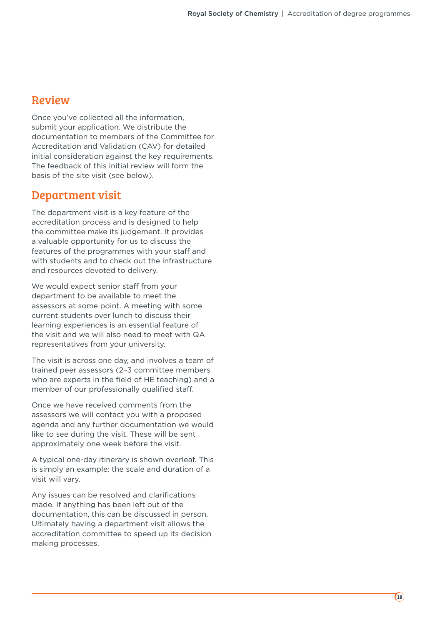### Review

Once you've collected all the information, submit your application. We distribute the documentation to members of the Committee for Accreditation and Validation (CAV) for detailed initial consideration against the key requirements. The feedback of this initial review will form the basis of the site visit (see below).

### Department visit

The department visit is a key feature of the accreditation process and is designed to help the committee make its judgement. It provides a valuable opportunity for us to discuss the features of the programmes with your staff and with students and to check out the infrastructure and resources devoted to delivery.

We would expect senior staff from your department to be available to meet the assessors at some point. A meeting with some current students over lunch to discuss their learning experiences is an essential feature of the visit and we will also need to meet with QA representatives from your university.

The visit is across one day, and involves a team of trained peer assessors (2–3 committee members who are experts in the field of HE teaching) and a member of our professionally qualified staff.

Once we have received comments from the assessors we will contact you with a proposed agenda and any further documentation we would like to see during the visit. These will be sent approximately one week before the visit.

A typical one-day itinerary is shown overleaf. This is simply an example: the scale and duration of a visit will vary.

Any issues can be resolved and clarifications made. If anything has been left out of the documentation, this can be discussed in person. Ultimately having a department visit allows the accreditation committee to speed up its decision making processes.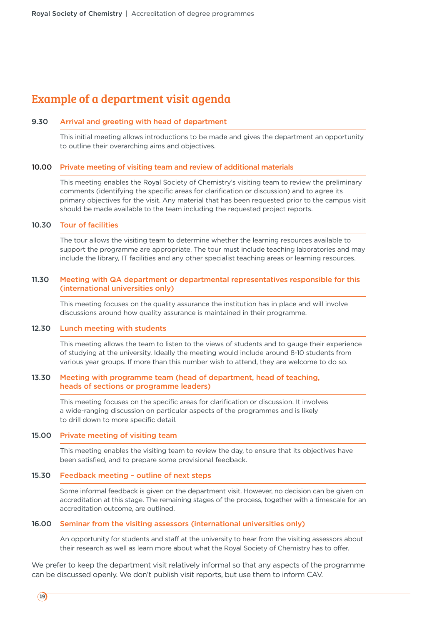### Example of a department visit agenda

#### 9.30 Arrival and greeting with head of department

This initial meeting allows introductions to be made and gives the department an opportunity to outline their overarching aims and objectives.

#### 10.00 Private meeting of visiting team and review of additional materials

This meeting enables the Royal Society of Chemistry's visiting team to review the preliminary comments (identifying the specific areas for clarification or discussion) and to agree its primary objectives for the visit. Any material that has been requested prior to the campus visit should be made available to the team including the requested project reports.

#### 10.30 Tour of facilities

The tour allows the visiting team to determine whether the learning resources available to support the programme are appropriate. The tour must include teaching laboratories and may include the library, IT facilities and any other specialist teaching areas or learning resources.

#### 11.30 Meeting with QA department or departmental representatives responsible for this (international universities only)

This meeting focuses on the quality assurance the institution has in place and will involve discussions around how quality assurance is maintained in their programme.

#### 12.30 Lunch meeting with students

This meeting allows the team to listen to the views of students and to gauge their experience of studying at the university. Ideally the meeting would include around 8-10 students from various year groups. If more than this number wish to attend, they are welcome to do so.

#### 13.30 Meeting with programme team (head of department, head of teaching, heads of sections or programme leaders)

This meeting focuses on the specific areas for clarification or discussion. It involves a wide-ranging discussion on particular aspects of the programmes and is likely to drill down to more specific detail.

#### 15.00 Private meeting of visiting team

This meeting enables the visiting team to review the day, to ensure that its objectives have been satisfied, and to prepare some provisional feedback.

#### 15.30 Feedback meeting – outline of next steps

Some informal feedback is given on the department visit. However, no decision can be given on accreditation at this stage. The remaining stages of the process, together with a timescale for an accreditation outcome, are outlined.

#### 16.00 Seminar from the visiting assessors (international universities only)

An opportunity for students and staff at the university to hear from the visiting assessors about their research as well as learn more about what the Royal Society of Chemistry has to offer.

We prefer to keep the department visit relatively informal so that any aspects of the programme can be discussed openly. We don't publish visit reports, but use them to inform CAV.

 $(19)$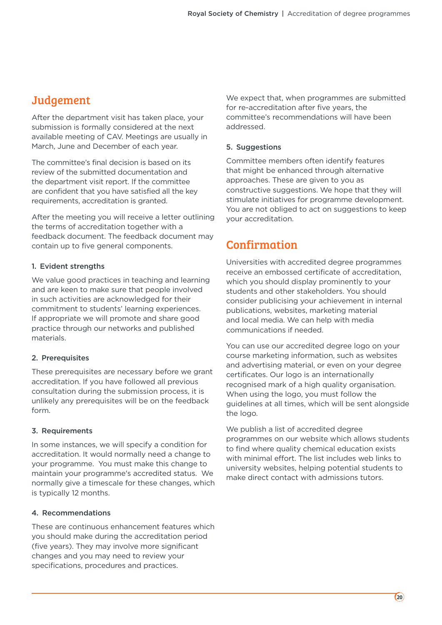### Judgement

After the department visit has taken place, your submission is formally considered at the next available meeting of CAV. Meetings are usually in March, June and December of each year.

The committee's final decision is based on its review of the submitted documentation and the department visit report. If the committee are confident that you have satisfied all the key requirements, accreditation is granted.

After the meeting you will receive a letter outlining the terms of accreditation together with a feedback document. The feedback document may contain up to five general components.

### 1. Evident strengths

We value good practices in teaching and learning and are keen to make sure that people involved in such activities are acknowledged for their commitment to students' learning experiences. If appropriate we will promote and share good practice through our networks and published materials.

#### 2. Prerequisites

These prerequisites are necessary before we grant accreditation. If you have followed all previous consultation during the submission process, it is unlikely any prerequisites will be on the feedback form.

### 3. Requirements

In some instances, we will specify a condition for accreditation. It would normally need a change to your programme. You must make this change to maintain your programme's accredited status. We normally give a timescale for these changes, which is typically 12 months.

#### 4. Recommendations

These are continuous enhancement features which you should make during the accreditation period (five years). They may involve more significant changes and you may need to review your specifications, procedures and practices.

We expect that, when programmes are submitted for re-accreditation after five years, the committee's recommendations will have been addressed.

#### 5. Suggestions

Committee members often identify features that might be enhanced through alternative approaches. These are given to you as constructive suggestions. We hope that they will stimulate initiatives for programme development. You are not obliged to act on suggestions to keep your accreditation.

### Confirmation

Universities with accredited degree programmes receive an embossed certificate of accreditation, which you should display prominently to your students and other stakeholders. You should consider publicising your achievement in internal publications, websites, marketing material and local media. We can help with media communications if needed.

You can use our accredited degree logo on your course marketing information, such as websites and advertising material, or even on your degree certificates. Our logo is an internationally recognised mark of a high quality organisation. When using the logo, you must follow the guidelines at all times, which will be sent alongside the logo.

We publish a list of accredited degree programmes on our website which allows students to find where quality chemical education exists with minimal effort. The list includes web links to university websites, helping potential students to make direct contact with admissions tutors.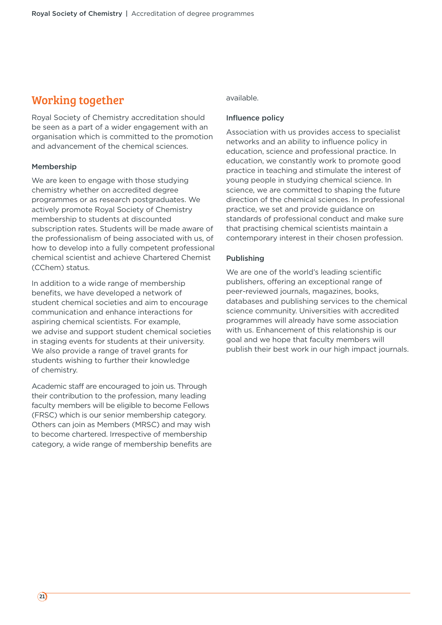### Working together

Royal Society of Chemistry accreditation should be seen as a part of a wider engagement with an organisation which is committed to the promotion and advancement of the chemical sciences.

#### Membership

We are keen to engage with those studying chemistry whether on accredited degree programmes or as research postgraduates. We actively promote Royal Society of Chemistry membership to students at discounted subscription rates. Students will be made aware of the professionalism of being associated with us, of how to develop into a fully competent professional chemical scientist and achieve Chartered Chemist (CChem) status.

In addition to a wide range of membership benefits, we have developed a network of student chemical societies and aim to encourage communication and enhance interactions for aspiring chemical scientists. For example, we advise and support student chemical societies in staging events for students at their university. We also provide a range of travel grants for students wishing to further their knowledge of chemistry.

Academic staff are encouraged to join us. Through their contribution to the profession, many leading faculty members will be eligible to become Fellows (FRSC) which is our senior membership category. Others can join as Members (MRSC) and may wish to become chartered. Irrespective of membership category, a wide range of membership benefits are

#### available.

#### Influence policy

Association with us provides access to specialist networks and an ability to influence policy in education, science and professional practice. In education, we constantly work to promote good practice in teaching and stimulate the interest of young people in studying chemical science. In science, we are committed to shaping the future direction of the chemical sciences. In professional practice, we set and provide guidance on standards of professional conduct and make sure that practising chemical scientists maintain a contemporary interest in their chosen profession.

#### Publishing

We are one of the world's leading scientific publishers, offering an exceptional range of peer-reviewed journals, magazines, books, databases and publishing services to the chemical science community. Universities with accredited programmes will already have some association with us. Enhancement of this relationship is our goal and we hope that faculty members will publish their best work in our high impact journals.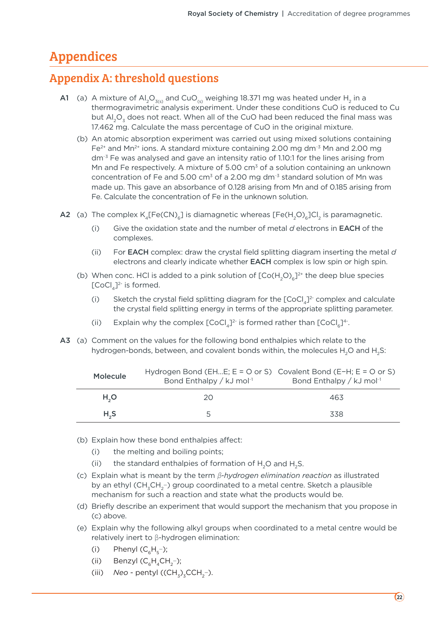### Appendices

### Appendix A: threshold questions

- A1 (a) A mixture of Al<sub>2</sub>O<sub>3(s)</sub> and CuO<sub>(s)</sub> weighing 18.371 mg was heated under H<sub>2</sub> in a thermogravimetric analysis experiment. Under these conditions CuO is reduced to Cu but  $AI<sub>2</sub>O<sub>3</sub>$  does not react. When all of the CuO had been reduced the final mass was 17.462 mg. Calculate the mass percentage of CuO in the original mixture.
	- (b) An atomic absorption experiment was carried out using mixed solutions containing  $Fe<sup>2+</sup>$  and Mn<sup>2+</sup> ions. A standard mixture containing 2.00 mg dm<sup>-3</sup> Mn and 2.00 mg dm<sup>-3</sup> Fe was analysed and gave an intensity ratio of 1.10:1 for the lines arising from Mn and Fe respectively. A mixture of 5.00  $cm<sup>3</sup>$  of a solution containing an unknown concentration of Fe and 5.00 cm<sup>3</sup> of a 2.00 mg dm<sup>-3</sup> standard solution of Mn was made up. This gave an absorbance of 0.128 arising from Mn and of 0.185 arising from Fe. Calculate the concentration of Fe in the unknown solution.
- A2 (a) The complex  $K_{4}[Fe(CN)_{6}]$  is diamagnetic whereas  $[Fe(H_{2}O)_{6}]Cl_{2}$  is paramagnetic.
	- (i) Give the oxidation state and the number of metal *d* electrons in EACH of the complexes.
	- (ii) For EACH complex: draw the crystal field splitting diagram inserting the metal *d* electrons and clearly indicate whether EACH complex is low spin or high spin.
	- (b) When conc. HCl is added to a pink solution of  $[Co(H, O)]^{2+}$  the deep blue species  $[CoCl<sub>4</sub>]<sup>2-</sup>$  is formed.
		- (i) Sketch the crystal field splitting diagram for the  $[CoCl<sub>4</sub>]<sup>2</sup>$  complex and calculate the crystal field splitting energy in terms of the appropriate splitting parameter.
		- (ii) Explain why the complex  $[CoCl_{n}]^{2}$  is formed rather than  $[CoCl_{n}]^{4}$ .
- A3 (a) Comment on the values for the following bond enthalpies which relate to the hydrogen-bonds, between, and covalent bonds within, the molecules  $H_2O$  and  $H_2S$ :

| Molecule         | Hydrogen Bond (EHE; $E = O$ or S) Covalent Bond (E-H; $E = O$ or S)<br>Bond Enthalpy / kJ mol <sup>-1</sup> | Bond Enthalpy / kJ mol <sup>-1</sup> |
|------------------|-------------------------------------------------------------------------------------------------------------|--------------------------------------|
| H <sub>2</sub> O | 20                                                                                                          | 463                                  |
| $H_{2}S$         | ∽                                                                                                           | 338                                  |

- (b) Explain how these bond enthalpies affect:
	- (i) the melting and boiling points;
	- (ii) the standard enthalpies of formation of  $H_2O$  and  $H_2S$ .
- (c) Explain what is meant by the term ɡ*-hydrogen elimination reaction* as illustrated by an ethyl (CH<sub>3</sub>CH<sub>2</sub>-) group coordinated to a metal centre. Sketch a plausible mechanism for such a reaction and state what the products would be.
- (d) Briefly describe an experiment that would support the mechanism that you propose in (c) above.
- (e) Explain why the following alkyl groups when coordinated to a metal centre would be relatively inert to β-hydrogen elimination:
	- (i) Phenyl  $(C_{\epsilon}H_{\epsilon}^{-})$ ;
	- (ii) Benzyl  $(C_eH_4CH_2)$ ;
	- (iii) *Neo* pentyl ((CH<sub>z</sub>)<sub>z</sub>CCH<sub>2</sub>-).

 $(22)$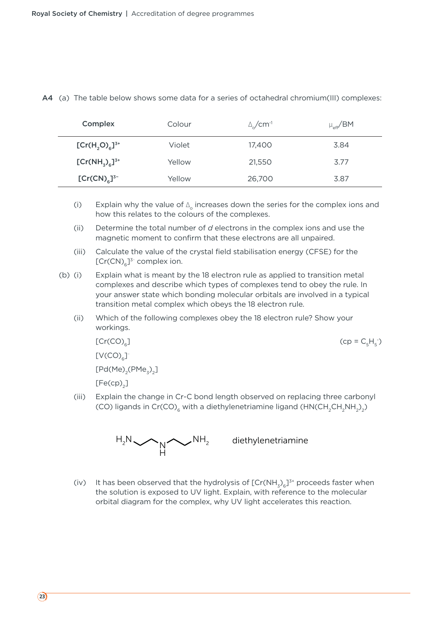| Complex                 | Colour | $\Delta C$ cm <sup>-1</sup> | $\mu_{\text{eff}}$ /BM |
|-------------------------|--------|-----------------------------|------------------------|
| $[Cr(H, O)6]^{3+}$      | Violet | 17,400                      | 3.84                   |
| $[Cr(NH_{7})_{6}]^{3+}$ | Yellow | 21,550                      | 3.77                   |
| $[Cr(CN)6]^{3-}$        | Yellow | 26,700                      | 3.87                   |

#### A4 (a) The table below shows some data for a series of octahedral chromium(III) complexes:

- (i) Explain why the value of  $\Delta$  increases down the series for the complex ions and how this relates to the colours of the complexes.
- (ii) Determine the total number of *d* electrons in the complex ions and use the magnetic moment to confirm that these electrons are all unpaired.
- (iii) Calculate the value of the crystal field stabilisation energy (CFSE) for the  $[Cr(CN)<sub>6</sub>]^{3-}$  complex ion.
- (b) (i) Explain what is meant by the 18 electron rule as applied to transition metal complexes and describe which types of complexes tend to obey the rule. In your answer state which bonding molecular orbitals are involved in a typical transition metal complex which obeys the 18 electron rule.
	- (ii) Which of the following complexes obey the 18 electron rule? Show your workings.

 $[Cr(CO)<sub>6</sub>]$  (cp = C<sub>5</sub>H<sub>5</sub>)

 $[V(CO)<sub>c</sub>]$ 

 $[Pd(Me)_{2}(PMe_{3})_{2}]$ 

 $[Fe(cp)]$ 

 (iii) Explain the change in Cr-C bond length observed on replacing three carbonyl (CO) ligands in Cr(CO)<sub>6</sub> with a diethylenetriamine ligand (HN(CH<sub>2</sub>CH<sub>2</sub>NH<sub>2</sub>)<sub>2</sub>)



 $NH<sub>2</sub>$  diethylenetriamine

- )

(iv) It has been observed that the hydrolysis of  $[Cr(NH<sub>3</sub>)<sub>6</sub>]^{3+}$  proceeds faster when the solution is exposed to UV light. Explain, with reference to the molecular orbital diagram for the complex, why UV light accelerates this reaction.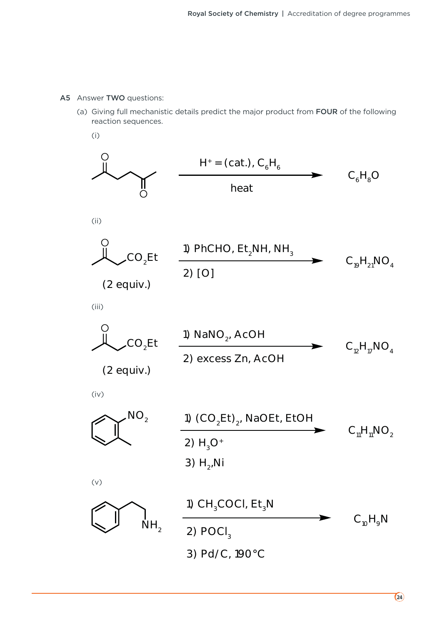#### A5 Answer TWO questions:

- (a) Giving full mechanistic details predict the major product from FOUR of the following reaction sequences.
	- (i)

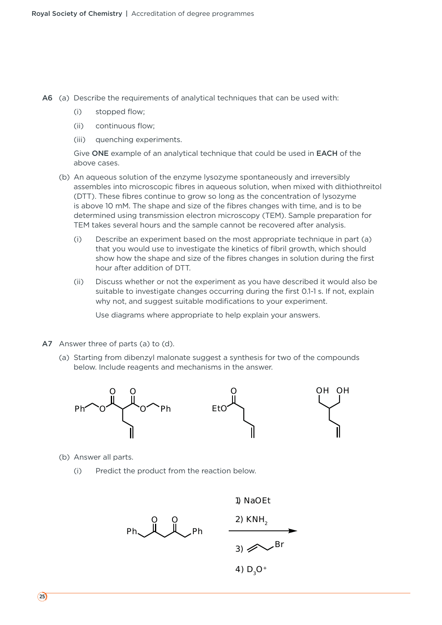A6 (a) Describe the requirements of analytical techniques that can be used with:

- (i) stopped flow;
- (ii) continuous flow;
- (iii) quenching experiments.

 Give ONE example of an analytical technique that could be used in EACH of the above cases.

- (b) An aqueous solution of the enzyme lysozyme spontaneously and irreversibly assembles into microscopic fibres in aqueous solution, when mixed with dithiothreitol (DTT). These fibres continue to grow so long as the concentration of lysozyme is above 10 mM. The shape and size of the fibres changes with time, and is to be determined using transmission electron microscopy (TEM). Sample preparation for TEM takes several hours and the sample cannot be recovered after analysis.
	- (i) Describe an experiment based on the most appropriate technique in part (a) that you would use to investigate the kinetics of fibril growth, which should show how the shape and size of the fibres changes in solution during the first hour after addition of DTT.
	- (ii) Discuss whether or not the experiment as you have described it would also be suitable to investigate changes occurring during the first 0.1-1 s. If not, explain why not, and suggest suitable modifications to your experiment.

Use diagrams where appropriate to help explain your answers.

- A7 Answer three of parts (a) to (d).
	- (a) Starting from dibenzyl malonate suggest a synthesis for two of the compounds below. Include reagents and mechanisms in the answer.



- (b) Answer all parts.
	- (i) Predict the product from the reaction below.

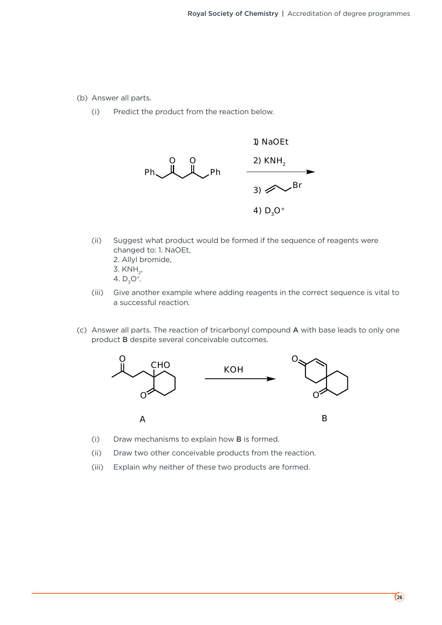- (b) Answer all parts.
	- (i) Predict the product from the reaction below.



- (ii) Suggest what product would be formed if the sequence of reagents were changed to: 1. NaOEt,
	- 2. Allyl bromide,
	- 3. KNH<sub>2</sub>,
	- 4.  $D_5O^+$ .
- (iii) Give another example where adding reagents in the correct sequence is vital to a successful reaction.
- (c) Answer all parts. The reaction of tricarbonyl compound A with base leads to only one product B despite several conceivable outcomes.



- (i) Draw mechanisms to explain how B is formed.
- (ii) Draw two other conceivable products from the reaction.
- (iii) Explain why neither of these two products are formed.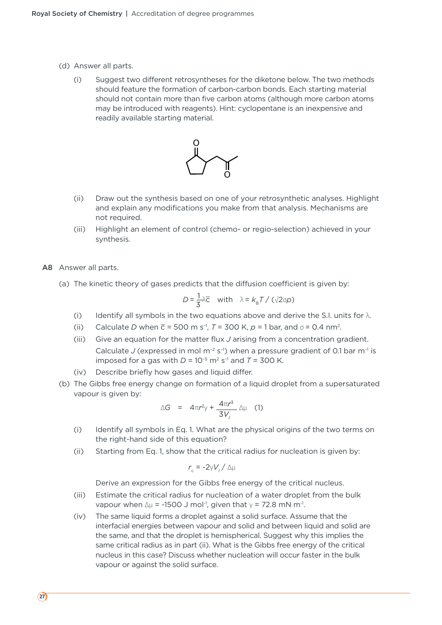- (d) Answer all parts.
	- (i) Suggest two different retrosyntheses for the diketone below. The two methods should feature the formation of carbon-carbon bonds. Each starting material should not contain more than five carbon atoms (although more carbon atoms may be introduced with reagents). Hint: cyclopentane is an inexpensive and readily available starting material.



- (ii) Draw out the synthesis based on one of your retrosynthetic analyses. Highlight and explain any modifications you make from that analysis. Mechanisms are not required.
- (iii) Highlight an element of control (chemo- or regio-selection) achieved in your synthesis.
- A8 Answer all parts.
	- (a) The kinetic theory of gases predicts that the diffusion coefficient is given by:

$$
D = \frac{1}{3}\lambda \overline{c} \quad \text{with} \quad \lambda = k_{\text{B}}T / (\sqrt{2}\sigma p)
$$

- (i) Identify all symbols in the two equations above and derive the S.I. units for  $\lambda$ .
- (ii) Calculate *D* when  $\overline{c}$  = 500 m s<sup>-1</sup>, *T* = 300 K, *p* = 1 bar, and  $\sigma$  = 0.4 nm<sup>2</sup>.
- (iii) Give an equation for the matter flux *J* arising from a concentration gradient. Calculate *J* (expressed in mol m<sup>-2</sup> s<sup>-1</sup>) when a pressure gradient of 0.1 bar m<sup>-1</sup> is imposed for a gas with  $D = 10^{-5}$  m<sup>2</sup> s<sup>-1</sup> and  $T = 300$  K.
- (iv) Describe briefly how gases and liquid differ.
- (b) The Gibbs free energy change on formation of a liquid droplet from a supersaturated vapour is given by:

$$
\Delta G = 4\pi r^2 \gamma + \frac{4\pi r^3}{3V_1} \Delta \mu \quad (1)
$$

- (i) Identify all symbols in Eq. 1. What are the physical origins of the two terms on the right-hand side of this equation?
- (ii) Starting from Eq. 1, show that the critical radius for nucleation is given by:

$$
r_{\rm c} = -2\gamma V_{\rm r}/\Delta\mu
$$

Derive an expression for the Gibbs free energy of the critical nucleus.

- (iii) Estimate the critical radius for nucleation of a water droplet from the bulk vapour when  $\Delta \mu$  = -1500 J mol<sup>-1</sup>, given that  $\gamma$  = 72.8 mN m<sup>-1</sup>.
- (iv) The same liquid forms a droplet against a solid surface. Assume that the interfacial energies between vapour and solid and between liquid and solid are the same, and that the droplet is hemispherical. Suggest why this implies the same critical radius as in part (ii). What is the Gibbs free energy of the critical nucleus in this case? Discuss whether nucleation will occur faster in the bulk vapour or against the solid surface.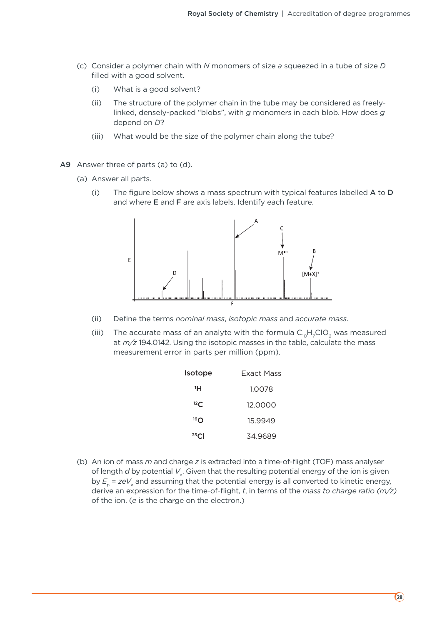- (c) Consider a polymer chain with *N* monomers of size *a* squeezed in a tube of size *D* filled with a good solvent.
	- (i) What is a good solvent?
	- (ii) The structure of the polymer chain in the tube may be considered as freelylinked, densely-packed "blobs", with *g* monomers in each blob. How does *g* depend on *D*?
	- (iii) What would be the size of the polymer chain along the tube?
- A9 Answer three of parts (a) to (d).
	- (a) Answer all parts.
		- (i) The figure below shows a mass spectrum with typical features labelled  $A$  to  $D$ and where E and F are axis labels. Identify each feature.



- (ii) Define the terms *nominal mass*, *isotopic mass* and *accurate mass*.
- (iii) The accurate mass of an analyte with the formula  $C_{10}H_7ClO_2$  was measured at *m/z* 194.0142. Using the isotopic masses in the table, calculate the mass measurement error in parts per million (ppm).

| <b>Exact Mass</b> |
|-------------------|
| 1.0078            |
| 12.0000           |
| 15.9949           |
| 34.9689           |
|                   |

 (b) An ion of mass *m* and charge *z* is extracted into a time-of-flight (TOF) mass analyser of length *d* by potential  $V_{\scriptscriptstyle \stackrel{.}{a}}$ . Given that the resulting potential energy of the ion is given by  $E_{\rm p}$  =  $zeV_{\rm a}$  and assuming that the potential energy is all converted to kinetic energy, derive an expression for the time-of-flight, *t*, in terms of the *mass to charge ratio (m/z)* of the ion. (*e* is the charge on the electron.)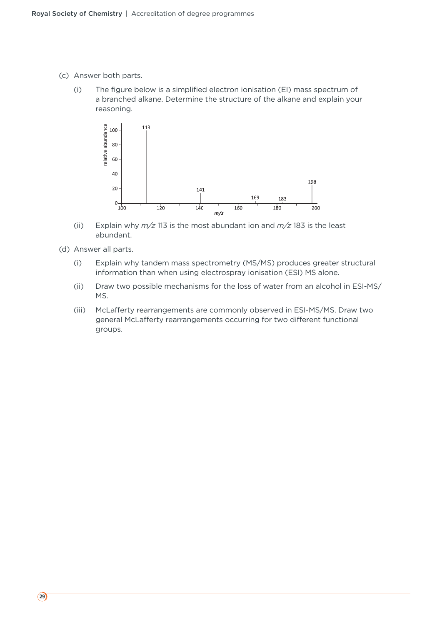- (c) Answer both parts.
	- (i) The figure below is a simplified electron ionisation (EI) mass spectrum of a branched alkane. Determine the structure of the alkane and explain your reasoning.



- (ii) Explain why *m/z* 113 is the most abundant ion and *m/z* 183 is the least abundant.
- (d) Answer all parts.
	- (i) Explain why tandem mass spectrometry (MS/MS) produces greater structural information than when using electrospray ionisation (ESI) MS alone.
	- (ii) Draw two possible mechanisms for the loss of water from an alcohol in ESI-MS/ MS.
	- (iii) McLafferty rearrangements are commonly observed in ESI-MS/MS. Draw two general McLafferty rearrangements occurring for two different functional groups.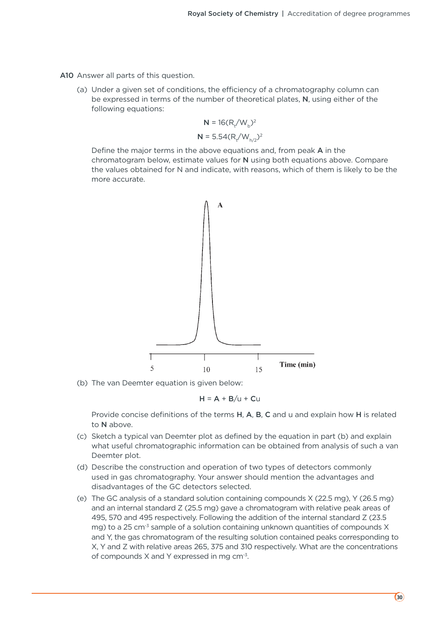A10 Answer all parts of this question.

 (a) Under a given set of conditions, the efficiency of a chromatography column can be expressed in terms of the number of theoretical plates, N, using either of the following equations:

$$
N = 16(R_t/W_b)^2
$$
  

$$
N = 5.54(R_t/W_{h/2})^2
$$

 Define the major terms in the above equations and, from peak A in the chromatogram below, estimate values for N using both equations above. Compare the values obtained for N and indicate, with reasons, which of them is likely to be the more accurate.



(b) The van Deemter equation is given below:

$$
H = A + B/u + Cu
$$

Provide concise definitions of the terms H, A, B, C and u and explain how H is related to N above.

- (c) Sketch a typical van Deemter plot as defined by the equation in part (b) and explain what useful chromatographic information can be obtained from analysis of such a van Deemter plot.
- (d) Describe the construction and operation of two types of detectors commonly used in gas chromatography. Your answer should mention the advantages and disadvantages of the GC detectors selected.
- (e) The GC analysis of a standard solution containing compounds X (22.5 mg), Y (26.5 mg) and an internal standard Z (25.5 mg) gave a chromatogram with relative peak areas of 495, 570 and 495 respectively. Following the addition of the internal standard Z (23.5 mg) to a 25 cm<sup>-3</sup> sample of a solution containing unknown quantities of compounds  $X$ and Y, the gas chromatogram of the resulting solution contained peaks corresponding to X, Y and Z with relative areas 265, 375 and 310 respectively. What are the concentrations of compounds X and Y expressed in mg cm-3.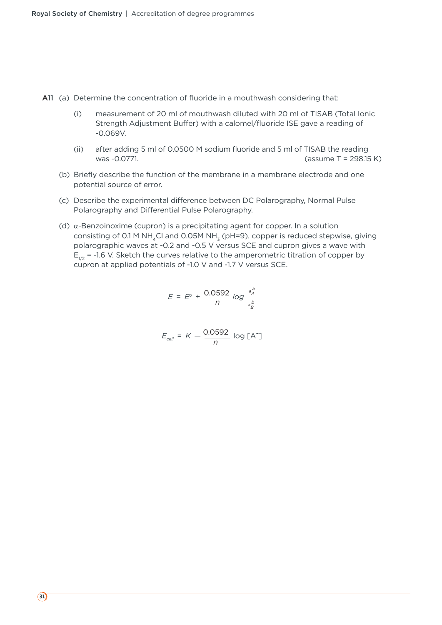A11 (a) Determine the concentration of fluoride in a mouthwash considering that:

- (i) measurement of 20 ml of mouthwash diluted with 20 ml of TISAB (Total Ionic Strength Adjustment Buffer) with a calomel/fluoride ISE gave a reading of -0.069V.
- (ii) after adding 5 ml of 0.0500 M sodium fluoride and 5 ml of TISAB the reading was -0.0771. (assume T = 298.15 K)
- (b) Briefly describe the function of the membrane in a membrane electrode and one potential source of error.
- (c) Describe the experimental difference between DC Polarography, Normal Pulse Polarography and Differential Pulse Polarography.
- (d)  $\alpha$ -Benzoinoxime (cupron) is a precipitating agent for copper. In a solution consisting of 0.1 M NH<sub>4</sub>Cl and 0.05M NH<sub>3</sub> (pH=9), copper is reduced stepwise, giving polarographic waves at -0.2 and -0.5 V versus SCE and cupron gives a wave with  $E_{1/2}$  = -1.6 V. Sketch the curves relative to the amperometric titration of copper by cupron at applied potentials of -1.0 V and -1.7 V versus SCE.

$$
E = E^{\circ} + \frac{0.0592}{n} \log \frac{a_{A}^{a}}{a_{B}^{b}}
$$

$$
E_{cell} = K - \frac{0.0592}{n} \log [A^{-}]
$$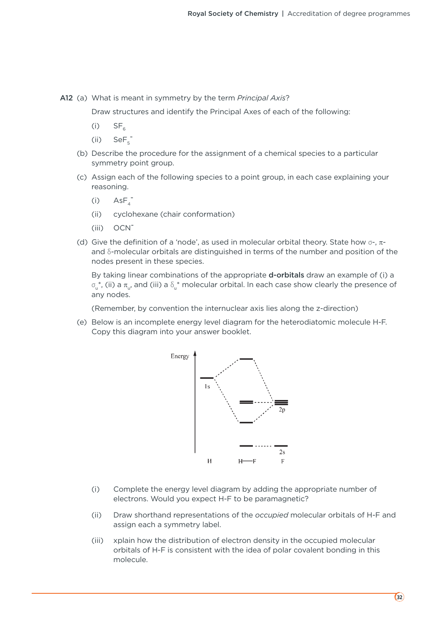A12 (a) What is meant in symmetry by the term *Principal Axis*?

Draw structures and identify the Principal Axes of each of the following:

- $(ii)$  SF<sub>6</sub>
- $(ii)$  SeF<sub>5</sub>
	- (b) Describe the procedure for the assignment of a chemical species to a particular symmetry point group.
	- (c) Assign each of the following species to a point group, in each case explaining your reasoning.
- $(i)$  AsF<sub>4</sub>
	- (ii) cyclohexane (chair conformation)
	- (iii) OCN-
	- (d) Give the definition of a 'node', as used in molecular orbital theory. State how  $\sigma$ -,  $\pi$ and  $\delta$ -molecular orbitals are distinguished in terms of the number and position of the nodes present in these species.

By taking linear combinations of the appropriate **d-orbitals** draw an example of (i) a  $\sigma_{\rm u}^*$ , (ii) a  $\pi_{\rm u}$ , and (iii) a  $\delta_{\rm u}^*$  molecular orbital. In each case show clearly the presence of any nodes.

(Remember, by convention the internuclear axis lies along the z-direction)

 (e) Below is an incomplete energy level diagram for the heterodiatomic molecule H-F. Copy this diagram into your answer booklet.



- (i) Complete the energy level diagram by adding the appropriate number of electrons. Would you expect H-F to be paramagnetic?
- (ii) Draw shorthand representations of the *occupied* molecular orbitals of H-F and assign each a symmetry label.
- (iii) xplain how the distribution of electron density in the occupied molecular orbitals of H-F is consistent with the idea of polar covalent bonding in this molecule.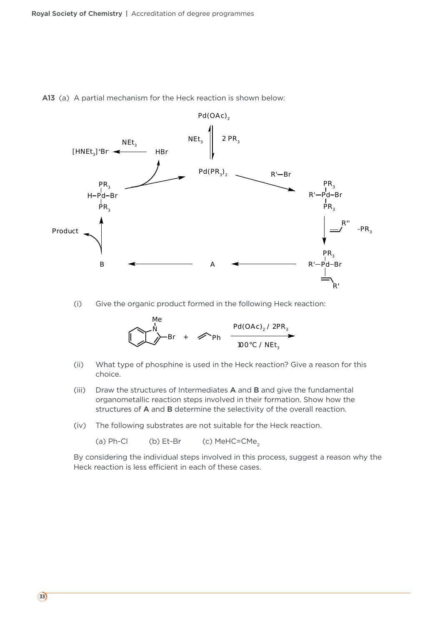



(i) Give the organic product formed in the following Heck reaction:

$$
\bigcup_{\text{NP}} \bigcup_{\text{Br}} \bigcup_{\text{Br}} \bigcap_{\text{Br}} \bigcap_{\text{Ph}} \bigcap_{\text{100°C} \text{/} \text{NEt}_3} \bigcap_{\text{100°C} \text{/} \text{NEt}_3}
$$

- (ii) What type of phosphine is used in the Heck reaction? Give a reason for this choice.
- (iii) Draw the structures of Intermediates A and B and give the fundamental organometallic reaction steps involved in their formation. Show how the structures of A and B determine the selectivity of the overall reaction.
- (iv) The following substrates are not suitable for the Heck reaction.

(a)  $Ph-Cl$  (b)  $Et-Br$  (c)  $MeHC=CMe<sub>2</sub>$ 

 By considering the individual steps involved in this process, suggest a reason why the Heck reaction is less efficient in each of these cases.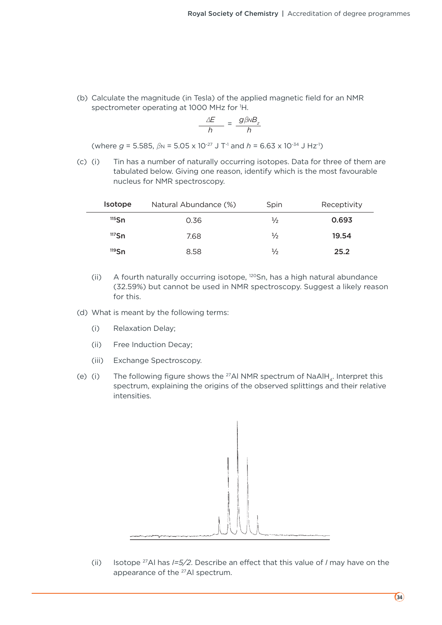(b) Calculate the magnitude (in Tesla) of the applied magnetic field for an NMR spectrometer operating at 1000 MHz for 1 H.

$$
\frac{\Delta E}{h} = \frac{g\beta NB_z}{h}
$$

(where  $g = 5.585$ ,  $\beta$ <sub>N</sub> = 5.05 x 10<sup>-27</sup> J T<sup>-1</sup> and  $h = 6.63$  x 10<sup>-34</sup> J Hz<sup>-1</sup>)

 (c) (i) Tin has a number of naturally occurring isotopes. Data for three of them are tabulated below. Giving one reason, identify which is the most favourable nucleus for NMR spectroscopy.

| <b>Isotope</b> | Natural Abundance (%) | Spin          | Receptivity |
|----------------|-----------------------|---------------|-------------|
| $115$ Sn       | 0.36                  | $\frac{1}{2}$ | 0.693       |
| $117$ Sn       | 7.68                  | ⅓             | 19.54       |
| $119$ Sn       | 8.58                  | $\frac{1}{2}$ | 25.2        |

- (ii) A fourth naturally occurring isotope, 120Sn, has a high natural abundance (32.59%) but cannot be used in NMR spectroscopy. Suggest a likely reason for this.
- (d) What is meant by the following terms:
	- (i) Relaxation Delay;
	- (ii) Free Induction Decay;
	- (iii) Exchange Spectroscopy.
- (e) (i) The following figure shows the <sup>27</sup>Al NMR spectrum of NaAlH<sub>4</sub>. Interpret this spectrum, explaining the origins of the observed splittings and their relative intensities.



 (ii) Isotope 27Al has *I=5/2*. Describe an effect that this value of *I* may have on the appearance of the 27Al spectrum.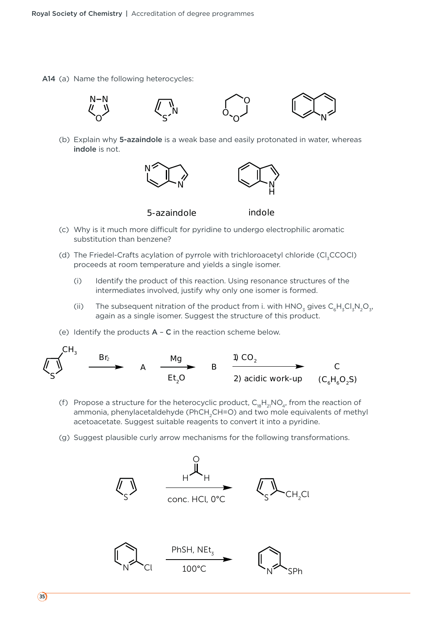A14 (a) Name the following heterocycles:



 (b) Explain why 5-azaindole is a weak base and easily protonated in water, whereas indole is not.



- (c) Why is it much more difficult for pyridine to undergo electrophilic aromatic substitution than benzene?
- (d) The Friedel-Crafts acylation of pyrrole with trichloroacetyl chloride (Cl<sub>z</sub>CCOCl) proceeds at room temperature and yields a single isomer.
	- (i) Identify the product of this reaction. Using resonance structures of the intermediates involved, justify why only one isomer is formed.
	- (ii) The subsequent nitration of the product from i. with  $HNO<sub>3</sub>$  gives  $C<sub>6</sub>H<sub>3</sub>Cl<sub>3</sub>N<sub>2</sub>O<sub>3</sub>$ , again as a single isomer. Suggest the structure of this product.
- (e) Identify the products  $A C$  in the reaction scheme below.



- (f) Propose a structure for the heterocyclic product,  $C_{18}H_{21}NO_{4}$ , from the reaction of ammonia, phenylacetaldehyde (PhCH<sub>2</sub>CH=O) and two mole equivalents of methyl acetoacetate. Suggest suitable reagents to convert it into a pyridine.
- (g) Suggest plausible curly arrow mechanisms for the following transformations.

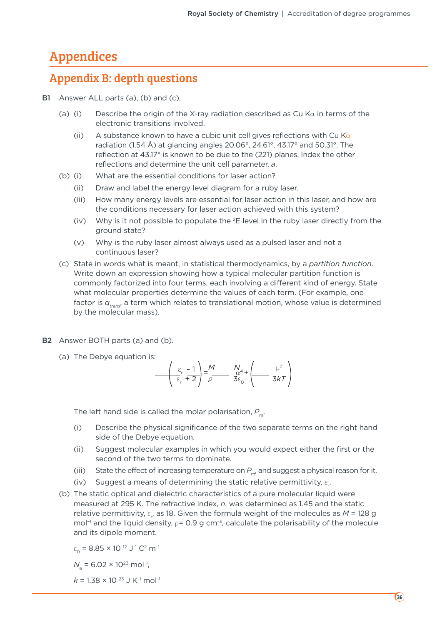### Appendices

### Appendix B: depth questions

- B1 Answer ALL parts (a), (b) and (c).
	- (a) (i) Describe the origin of the X-ray radiation described as Cu K $\alpha$  in terms of the electronic transitions involved.
		- (ii) A substance known to have a cubic unit cell gives reflections with Cu K $\alpha$ radiation (1.54 Å) at glancing angles 20.06°, 24.61°, 43.17° and 50.31°. The reflection at 43.17° is known to be due to the (221) planes. Index the other reflections and determine the unit cell parameter, *a*.
	- (b) (i) What are the essential conditions for laser action?
		- (ii) Draw and label the energy level diagram for a ruby laser.
		- (iii) How many energy levels are essential for laser action in this laser, and how are the conditions necessary for laser action achieved with this system?
		- (iv) Why is it not possible to populate the  ${}^{2}E$  level in the ruby laser directly from the ground state?
		- (v) Why is the ruby laser almost always used as a pulsed laser and not a continuous laser?
	- (c) State in words what is meant, in statistical thermodynamics, by a *partition function*. Write down an expression showing how a typical molecular partition function is commonly factorized into four terms, each involving a different kind of energy. State what molecular properties determine the values of each term. (For example, one factor is  $q_{\text{trans}}$ , a term which relates to translational motion, whose value is determined by the molecular mass).
- B2 Answer BOTH parts (a) and (b).
	- (a) The Debye equation is:

$$
\frac{\left(\varepsilon_{r} - 1}{\varepsilon_{r} + 2}\right) = \frac{M}{\rho} \frac{N_{\alpha}A}{3\varepsilon_{0}} + \left(\frac{\mu^{2}}{3kT}\right)
$$

The left hand side is called the molar polarisation, P<sub>m</sub>.

- (i) Describe the physical significance of the two separate terms on the right hand side of the Debye equation.
- (ii) Suggest molecular examples in which you would expect either the first or the second of the two terms to dominate.
- (iii) State the effect of increasing temperature on  $P_m$ , and suggest a physical reason for it.
- (iv) Suggest a means of determining the static relative permittivity,  $\varepsilon_{\vec{r}}$ .
	- (b) The static optical and dielectric characteristics of a pure molecular liquid were measured at 295 K. The refractive index, *n*, was determined as 1.45 and the static relative permittivity, ε<sub>r</sub>, as 18. Given the formula weight of the molecules as *M* = 128 g mol<sup>-1</sup> and the liquid density, p= 0.9 g cm<sup>-3</sup>, calculate the polarisability of the molecule and its dipole moment.

$$
\varepsilon_{0} = 8.85 \times 10^{-12} \text{ J}^{-1} \text{ C}^{2} \text{ m}^{-1}
$$

 $N_{\rm a}$  = 6.02 × 10<sup>23</sup> mol<sup>-1</sup>,

 $k$  = 1.38  $\times$  10<sup>-23</sup> J K<sup>-1</sup> mol<sup>-1</sup>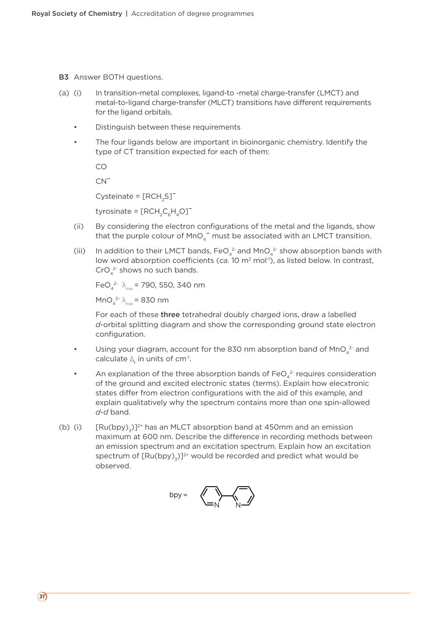B3 Answer BOTH questions.

- (a) (i) In transition-metal complexes, ligand-to -metal charge-transfer (LMCT) and metal-to-ligand charge-transfer (MLCT) transitions have different requirements for the ligand orbitals.
	- Distinguish between these requirements
	- The four ligands below are important in bioinorganic chemistry. Identify the type of CT transition expected for each of them:

CO

 $CN<sup>-</sup>$ 

Cysteinate =  $[RCH_2S]$ <sup>-</sup>

tyrosinate =  $[RCH_{2}C_{6}H_{4}O]^{-}$ 

- (ii) By considering the electron configurations of the metal and the ligands, show that the purple colour of  $MnO<sub>4</sub>$  must be associated with an LMCT transition.
- (iii) In addition to their LMCT bands, FeO<sub>4</sub><sup>2</sup> and MnO<sub>4</sub><sup>2</sup> show absorption bands with low word absorption coefficients (ca. 10 m<sup>2</sup> mol<sup>-1</sup>), as listed below. In contrast,  $CrO<sub>4</sub><sup>2</sup>$  shows no such bands.

 $FeO_4^2$ <sup>2</sup>  $\lambda_{\text{max}}$  = 790, 550, 340 nm

 $MnO<sub>4</sub><sup>2-</sup> \lambda<sub>max</sub> = 830 nm$ 

 For each of these three tetrahedral doubly charged ions, draw a labelled *d*-orbital splitting diagram and show the corresponding ground state electron configuration.

- Using your diagram, account for the 830 nm absorption band of MnO $_4^2$  and calculate  $\Delta_{\mathrm{t}}$  in units of cm<sup>-1</sup>.
- An explanation of the three absorption bands of  $\text{FeO}_4^{2}$  requires consideration of the ground and excited electronic states (terms). Explain how elecxtronic states differ from electron configurations with the aid of this example, and explain qualitatively why the spectrum contains more than one spin-allowed *d-d* band.
- (b) (i)  $[Ru(bpy),]^{2+}$  has an MLCT absorption band at 450mm and an emission maximum at 600 nm. Describe the difference in recording methods between an emission spectrum and an excitation spectrum. Explain how an excitation spectrum of  $[Ru(bpy)_3]^{2+}$  would be recorded and predict what would be observed.

$$
hyp = \left\langle \bigotimes_{i=1}^{n} \bigotimes_{j=1}^{n} \bigotimes_{j=1}^{n} \bigotimes_{j=1}^{n} \bigotimes_{j=1}^{n} \bigotimes_{j=1}^{n} \bigotimes_{j=1}^{n} \bigotimes_{j=1}^{n} \bigotimes_{j=1}^{n} \bigotimes_{j=1}^{n} \bigotimes_{j=1}^{n} \bigotimes_{j=1}^{n} \bigotimes_{j=1}^{n} \bigotimes_{j=1}^{n} \bigotimes_{j=1}^{n} \bigotimes_{j=1}^{n} \bigotimes_{j=1}^{n} \bigotimes_{j=1}^{n} \bigotimes_{j=1}^{n} \bigotimes_{j=1}^{n} \bigotimes_{j=1}^{n} \bigotimes_{j=1}^{n} \bigotimes_{j=1}^{n} \bigotimes_{j=1}^{n} \bigotimes_{j=1}^{n} \bigotimes_{j=1}^{n} \bigotimes_{j=1}^{n} \bigotimes_{j=1}^{n} \bigotimes_{j=1}^{n} \bigotimes_{j=1}^{n} \bigotimes_{j=1}^{n} \bigotimes_{j=1}^{n} \bigotimes_{j=1}^{n} \bigotimes_{j=1}^{n} \bigotimes_{j=1}^{n} \bigotimes_{j=1}^{n} \bigotimes_{j=1}^{n} \bigotimes_{j=1}^{n} \bigotimes_{j=1}^{n} \bigotimes_{j=1}^{n} \bigotimes_{j=1}^{n} \bigotimes_{j=1}^{n} \bigotimes_{j=1}^{n} \bigotimes_{j=1}^{n} \bigotimes_{j=1}^{n} \bigotimes_{j=1}^{n} \bigotimes_{j=1}^{n} \bigotimes_{j=1}^{n} \bigotimes_{j=1}^{n} \bigotimes_{j=1}^{n} \bigotimes_{j=1}^{n} \bigotimes_{j=1}^{n} \bigotimes_{j=1}^{n} \bigotimes_{j=1}^{n} \bigotimes_{j=1}^{n} \bigotimes_{j=1}^{n} \bigotimes_{j=1}^{n} \bigotimes_{j=1}^{n} \bigotimes_{j=1}^{n} \bigotimes_{j=1}^{n} \bigotimes_{j=1}^{n} \bigotimes_{j=1}^{n} \bigotimes_{j=1}
$$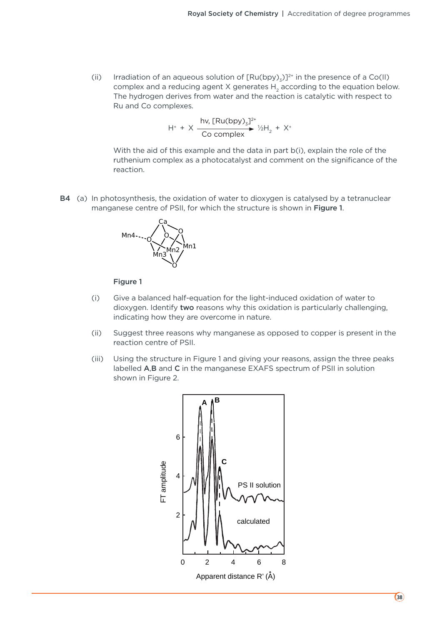(ii) Irradiation of an aqueous solution of  $[Ru(bpy)_z]^{2^+}$  in the presence of a Co(II) complex and a reducing agent X generates  $H_2$  according to the equation below. The hydrogen derives from water and the reaction is catalytic with respect to Ru and Co complexes.

$$
H^{+} + X \xrightarrow{\text{hv, [Ru(bpy)}_{3}]^{2^{+}}}_{\text{Co complex}} \gamma_{2}H_{2} + X^{+}
$$

 With the aid of this example and the data in part b(i), explain the role of the ruthenium complex as a photocatalyst and comment on the significance of the reaction.

B4 (a) In photosynthesis, the oxidation of water to dioxygen is catalysed by a tetranuclear manganese centre of PSII, for which the structure is shown in Figure 1.



#### Figure 1

- (i) Give a balanced half-equation for the light-induced oxidation of water to dioxygen. Identify two reasons why this oxidation is particularly challenging, indicating how they are overcome in nature.
- (ii) Suggest three reasons why manganese as opposed to copper is present in the reaction centre of PSII.
- (iii) Using the structure in Figure 1 and giving your reasons, assign the three peaks labelled A,B and C in the manganese EXAFS spectrum of PSII in solution shown in Figure 2.

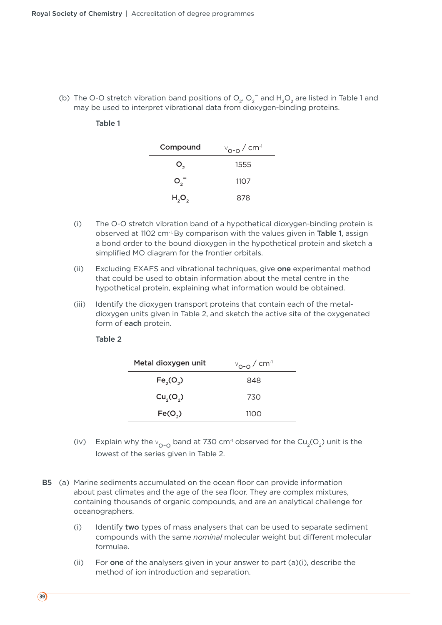(b) The O-O stretch vibration band positions of  $O_2$ ,  $O_2^-$  and  $H_2O_2$  are listed in Table 1 and may be used to interpret vibrational data from dioxygen-binding proteins.

#### Table 1

| Compound | $v_{\text{o-o}}$ / cm <sup>-1</sup> |
|----------|-------------------------------------|
| Ο,       | 1555                                |
| $O_2^-$  | 1107                                |
| $H_2O_2$ | 878                                 |
|          |                                     |

- (i) The O-O stretch vibration band of a hypothetical dioxygen-binding protein is observed at 1102 cm-1. By comparison with the values given in Table 1, assign a bond order to the bound dioxygen in the hypothetical protein and sketch a simplified MO diagram for the frontier orbitals.
- (ii) Excluding EXAFS and vibrational techniques, give one experimental method that could be used to obtain information about the metal centre in the hypothetical protein, explaining what information would be obtained.
- (iii) Identify the dioxygen transport proteins that contain each of the metaldioxygen units given in Table 2, and sketch the active site of the oxygenated form of each protein.

#### Table 2

| Metal dioxygen unit               | $v_{\text{O-O}}/$ cm <sup>-1</sup> |
|-----------------------------------|------------------------------------|
| Fe <sub>2</sub> (O <sub>2</sub> ) | 848                                |
| Cu <sub>2</sub> (O <sub>2</sub> ) | 730                                |
| Fe(O <sub>2</sub> )               | 1100                               |

- (iv) Explain why the  $v_{0-0}$  band at 730 cm<sup>-1</sup> observed for the Cu<sub>2</sub>(O<sub>2</sub>) unit is the lowest of the series given in Table 2.
- B5 (a) Marine sediments accumulated on the ocean floor can provide information about past climates and the age of the sea floor. They are complex mixtures, containing thousands of organic compounds, and are an analytical challenge for oceanographers.
	- (i) Identify two types of mass analysers that can be used to separate sediment compounds with the same *nominal* molecular weight but different molecular formulae.
	- (ii) For one of the analysers given in your answer to part  $(a)(i)$ , describe the method of ion introduction and separation.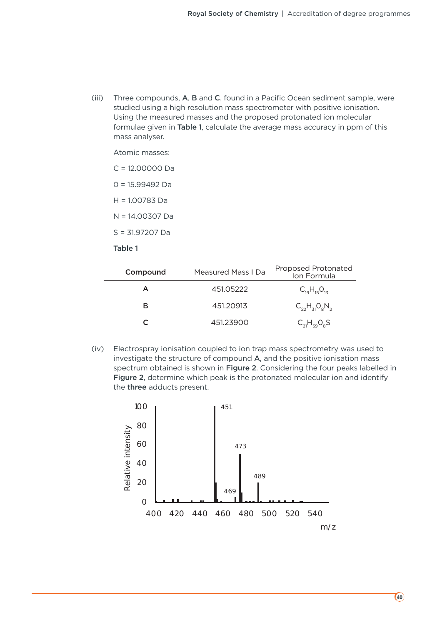(iii) Three compounds,  $A$ ,  $B$  and  $C$ , found in a Pacific Ocean sediment sample, were studied using a high resolution mass spectrometer with positive ionisation. Using the measured masses and the proposed protonated ion molecular formulae given in Table 1, calculate the average mass accuracy in ppm of this mass analyser.

Atomic masses:

C = 12.00000 Da

0 = 15.99492 Da

H = 1.00783 Da

N = 14.00307 Da

S = 31.97207 Da

#### Table 1

| Compound | <b>Measured Mass I Da</b> | Proposed Protonated<br>Ion Formula |
|----------|---------------------------|------------------------------------|
|          | 451.05222                 | $C_{19}H_{15}O_{13}$               |
|          | 451.20913                 | $C_{22}H_{31}O_8N_2$               |
|          | 451.23900                 | $C_{21}H_{39}O_8S$                 |

 (iv) Electrospray ionisation coupled to ion trap mass spectrometry was used to investigate the structure of compound A, and the positive ionisation mass spectrum obtained is shown in Figure 2. Considering the four peaks labelled in Figure 2, determine which peak is the protonated molecular ion and identify the three adducts present.

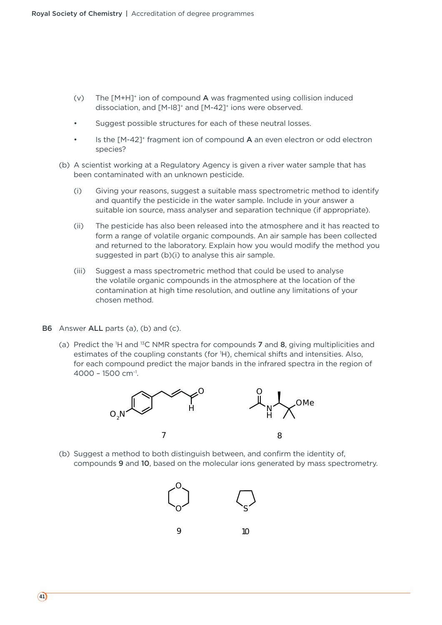- (v) The  $[M+H]^+$  ion of compound A was fragmented using collision induced dissociation, and [M-I8]+ and [M-42]+ ions were observed.
- Suggest possible structures for each of these neutral losses.
- Is the [M-42]<sup>+</sup> fragment ion of compound A an even electron or odd electron species?
- (b) A scientist working at a Regulatory Agency is given a river water sample that has been contaminated with an unknown pesticide.
	- (i) Giving your reasons, suggest a suitable mass spectrometric method to identify and quantify the pesticide in the water sample. Include in your answer a suitable ion source, mass analyser and separation technique (if appropriate).
	- (ii) The pesticide has also been released into the atmosphere and it has reacted to form a range of volatile organic compounds. An air sample has been collected and returned to the laboratory. Explain how you would modify the method you suggested in part (b)(i) to analyse this air sample.
	- (iii) Suggest a mass spectrometric method that could be used to analyse the volatile organic compounds in the atmosphere at the location of the contamination at high time resolution, and outline any limitations of your chosen method.
- B6 Answer ALL parts (a), (b) and (c).
- (a) Predict the <sup>1</sup>H and <sup>13</sup>C NMR spectra for compounds **7** and **8**, giving multiplicities and estimates of the coupling constants (for 1 H), chemical shifts and intensities. Also, for each compound predict the major bands in the infrared spectra in the region of  $4000 - 1500$  cm<sup>-1</sup>.



 (b) Suggest a method to both distinguish between, and confirm the identity of, compounds 9 and 10, based on the molecular ions generated by mass spectrometry.

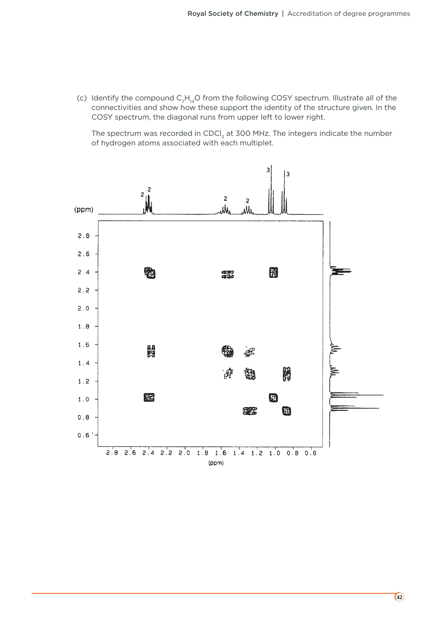(c) Identify the compound  $C_7H_{14}O$  from the following COSY spectrum. Illustrate all of the connectivities and show how these support the identity of the structure given. In the COSY spectrum, the diagonal runs from upper left to lower right.

The spectrum was recorded in CDCl<sub>3</sub> at 300 MHz. The integers indicate the number of hydrogen atoms associated with each multiplet.

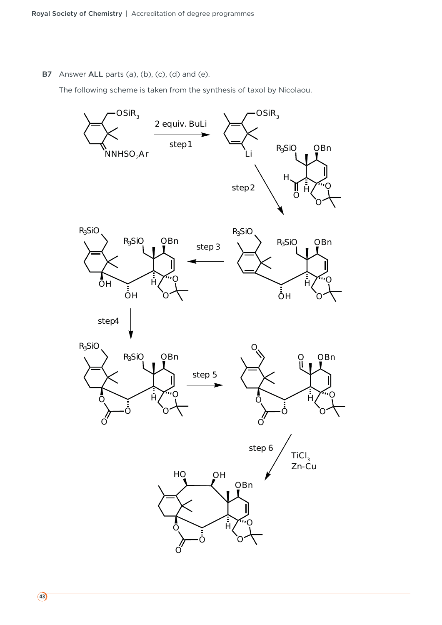B7 Answer ALL parts (a), (b), (c), (d) and (e).

The following scheme is taken from the synthesis of taxol by Nicolaou.

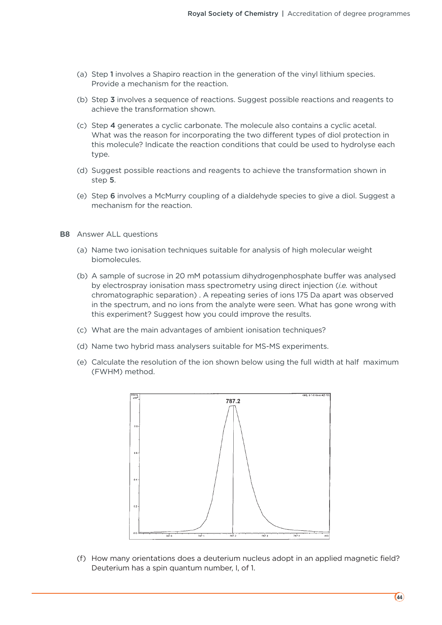- (a) Step 1 involves a Shapiro reaction in the generation of the vinyl lithium species. Provide a mechanism for the reaction.
- (b) Step 3 involves a sequence of reactions. Suggest possible reactions and reagents to achieve the transformation shown.
- (c) Step 4 generates a cyclic carbonate. The molecule also contains a cyclic acetal. What was the reason for incorporating the two different types of diol protection in this molecule? Indicate the reaction conditions that could be used to hydrolyse each type.
- (d) Suggest possible reactions and reagents to achieve the transformation shown in step 5.
- (e) Step 6 involves a McMurry coupling of a dialdehyde species to give a diol. Suggest a mechanism for the reaction.
- B8 Answer ALL questions
	- (a) Name two ionisation techniques suitable for analysis of high molecular weight biomolecules.
	- (b) A sample of sucrose in 20 mM potassium dihydrogenphosphate buffer was analysed by electrospray ionisation mass spectrometry using direct injection (*i.e.* without chromatographic separation) . A repeating series of ions 175 Da apart was observed in the spectrum, and no ions from the analyte were seen. What has gone wrong with this experiment? Suggest how you could improve the results.
	- (c) What are the main advantages of ambient ionisation techniques?
	- (d) Name two hybrid mass analysers suitable for MS-MS experiments.
	- (e) Calculate the resolution of the ion shown below using the full width at half maximum (FWHM) method.



 (f) How many orientations does a deuterium nucleus adopt in an applied magnetic field? Deuterium has a spin quantum number, I, of 1.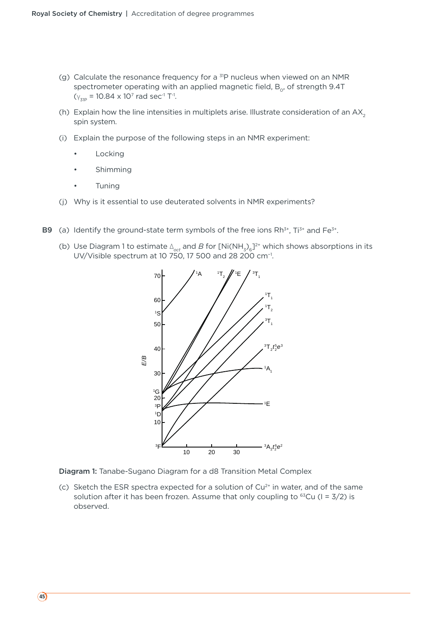- (g) Calculate the resonance frequency for a 31P nucleus when viewed on an NMR spectrometer operating with an applied magnetic field,  $B_{0}$ , of strength 9.4T  $(Y_{Z1P} = 10.84 \times 10^7 \text{ rad sec}^{-1} \text{ T}^{-1}.$
- (h) Explain how the line intensities in multiplets arise. Illustrate consideration of an  $AX<sub>2</sub>$ spin system.
- (i) Explain the purpose of the following steps in an NMR experiment:
	- **Locking**
	- **Shimming**
	- Tuning
- (j) Why is it essential to use deuterated solvents in NMR experiments?
- **B9** (a) Identify the ground-state term symbols of the free ions  $Rh^{3+}$ ,  $Ti^{3+}$  and  $Fe^{3+}$ .
	- (b) Use Diagram 1 to estimate  $\Delta_{oct}$  and *B* for [Ni(NH<sub>3</sub>)<sub>6</sub>]<sup>2+</sup> which shows absorptions in its UV/Visible spectrum at 10 750, 17 500 and 28 200 cm−1.



Diagram 1: Tanabe-Sugano Diagram for a d8 Transition Metal Complex

(c) Sketch the ESR spectra expected for a solution of  $Cu<sup>2+</sup>$  in water, and of the same solution after it has been frozen. Assume that only coupling to  $^{63}Cu$  (I = 3/2) is observed.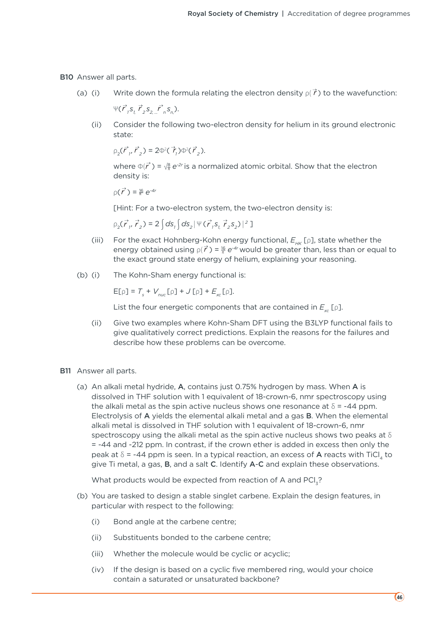B10 Answer all parts.

(a) (i) Write down the formula relating the electron density  $\rho(\vec{r})$  to the wavefunction:

 $\Psi(\vec{r}_1\vec{s}_1\vec{r}_2\vec{s}_2\vec{r}_n\vec{r}_n\vec{s}_n)$ .

 (ii) Consider the following two-electron density for helium in its ground electronic state:

 $\rho_2(\vec{r}_1, \vec{r}_2) = 2\Phi^2(\vec{r}_1)\Phi^2(\vec{r}_2).$ 

where  $\Phi(\vec{r}) = \sqrt{\frac{8}{\pi}} e^{-2r}$  is a normalized atomic orbital. Show that the electron density is:

 $\rho$ (  $\vec{r}$ ) =  $\frac{16}{\pi}$  e<sup>-4*r*</sup>

[Hint: For a two-electron system, the two-electron density is:

 $\rho_2(\vec{r}_1, \vec{r}_2) = 2 \int ds_1 \int ds_2 |\Psi(\vec{r}_1, s_1, \vec{r}_2, s_2)|^2]$ 

- (iii) For the exact Hohnberg-Kohn energy functional,  $E_{\mu\nu}$  [p], state whether the energy obtained using  $p(\vec{r}) = \frac{16}{\pi} e^{-4r}$  would be greater than, less than or equal to the exact ground state energy of helium, explaining your reasoning.
- (b) (i) The Kohn-Sham energy functional is:

 $E[\rho] = T_s + V_{nuc}[\rho] + J[\rho] + E_{xc}[\rho].$ 

List the four energetic components that are contained in  $E_{\infty}$  [p].

- (ii) Give two examples where Kohn-Sham DFT using the B3LYP functional fails to give qualitatively correct predictions. Explain the reasons for the failures and describe how these problems can be overcome.
- B11 Answer all parts.
	- (a) An alkali metal hydride, A, contains just 0.75% hydrogen by mass. When A is dissolved in THF solution with 1 equivalent of 18-crown-6, nmr spectroscopy using the alkali metal as the spin active nucleus shows one resonance at  $\delta$  = -44 ppm. Electrolysis of A yields the elemental alkali metal and a gas B. When the elemental alkali metal is dissolved in THF solution with 1 equivalent of 18-crown-6, nmr spectroscopy using the alkali metal as the spin active nucleus shows two peaks at  $\delta$ = -44 and -212 ppm. In contrast, if the crown ether is added in excess then only the peak at  $\delta$  = -44 ppm is seen. In a typical reaction, an excess of A reacts with TiCl, to give Ti metal, a gas, B, and a salt C. Identify A-C and explain these observations.

What products would be expected from reaction of A and PCl<sub>2</sub>?

- (b) You are tasked to design a stable singlet carbene. Explain the design features, in particular with respect to the following:
	- (i) Bond angle at the carbene centre;
	- (ii) Substituents bonded to the carbene centre;
	- (iii) Whether the molecule would be cyclic or acyclic;
	- (iv) If the design is based on a cyclic five membered ring, would your choice contain a saturated or unsaturated backbone?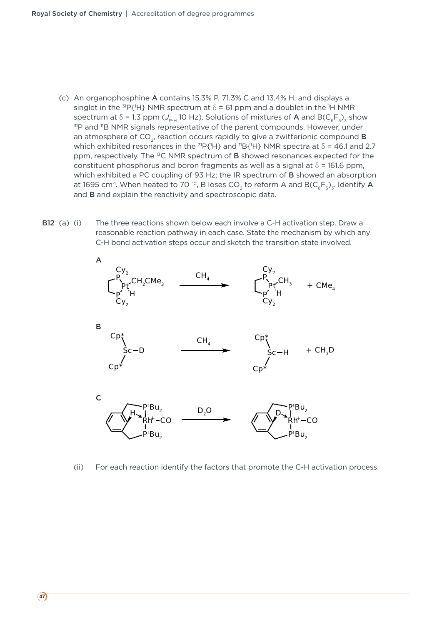- (c) An organophosphine A contains 15.3% P, 71.3% C and 13.4% H, and displays a singlet in the  $\mathrm{^{31}P}\{\mathrm{^1H}}\}$  NMR spectrum at  $\delta$  = 61 ppm and a doublet in the <sup>1</sup>H NMR spectrum at  $\delta$  = 1.3 ppm ( $J_{P-H}$  10 Hz). Solutions of mixtures of **A** and B( $C_6F_5$ )<sub>3</sub> show <sup>31</sup>P and <sup>11</sup>B NMR signals representative of the parent compounds. However, under an atmosphere of  $CO<sub>2</sub>$ , reaction occurs rapidly to give a zwitterionic compound **B** which exhibited resonances in the  $\mathrm{^{31}P}\{\mathrm{^1H}\}$  and  $\mathrm{^{11}B}\{\mathrm{^1H}\}$  NMR spectra at  $\delta$  = 46.1 and 2.7 ppm, respectively. The 13C NMR spectrum of B showed resonances expected for the constituent phosphorus and boron fragments as well as a signal at  $\delta$  = 161.6 ppm, which exhibited a PC coupling of 93 Hz; the IR spectrum of **B** showed an absorption at 1695 cm<sup>-1</sup>. When heated to 70 °C, B loses CO<sub>2</sub> to reform A and B(C<sub>6</sub>F<sub>5</sub>)<sub>3</sub>. Identify A and B and explain the reactivity and spectroscopic data.
- B12 (a) (i) The three reactions shown below each involve a C-H activation step. Draw a reasonable reaction pathway in each case. State the mechanism by which any C-H bond activation steps occur and sketch the transition state involved.



(ii) For each reaction identify the factors that promote the C-H activation process.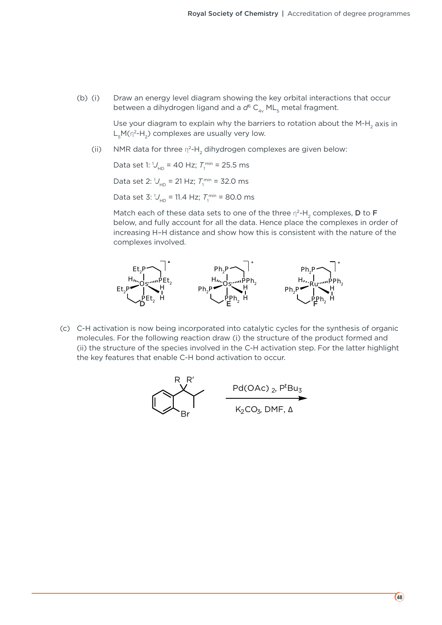(b) (i) Draw an energy level diagram showing the key orbital interactions that occur between a dihydrogen ligand and a d<sup>6</sup> C<sub>4v</sub> ML<sub>5</sub> metal fragment.

> Use your diagram to explain why the barriers to rotation about the M-H<sub>2</sub> axis in  $L<sub>s</sub>M(\eta^2-H<sub>2</sub>)$  complexes are usually very low.

(ii) NMR data for three  $\eta^2$ -H<sub>2</sub> dihydrogen complexes are given below:

Data set 1: 1/<sub>HD</sub> = 40 Hz; 7 n<sup>min</sup> = 25.5 ms

Data set 2:  $U_{HD}$  = 21 Hz;  $T_1^{\text{min}}$  = 32.0 ms

Data set 3: 1/<sub>HD</sub> = 11.4 Hz; *T*<sub>1</sub><sup>min</sup> = 80.0 ms

Match each of these data sets to one of the three  $\eta^2$ -H<sub>2</sub> complexes, **D** to **F** below, and fully account for all the data. Hence place the complexes in order of increasing H–H distance and show how this is consistent with the nature of the complexes involved.



(c) C-H activation is now being incorporated into catalytic cycles for the synthesis of organic molecules. For the following reaction draw (i) the structure of the product formed and (ii) the structure of the species involved in the C-H activation step. For the latter highlight the key features that enable C-H bond activation to occur.

$$
R R'
$$
  
PG(OAC)<sub>2</sub>,  $P^tBu_3$   
K<sub>2</sub>CO<sub>3</sub>, DMF,  $\Delta$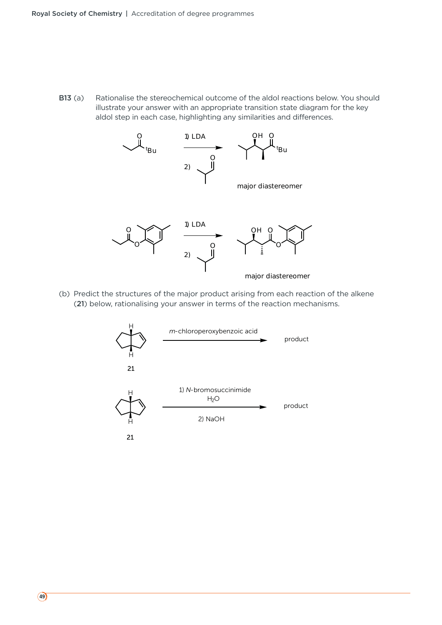B13 (a) Rationalise the stereochemical outcome of the aldol reactions below. You should illustrate your answer with an appropriate transition state diagram for the key aldol step in each case, highlighting any similarities and differences.



 (b) Predict the structures of the major product arising from each reaction of the alkene (21) below, rationalising your answer in terms of the reaction mechanisms.

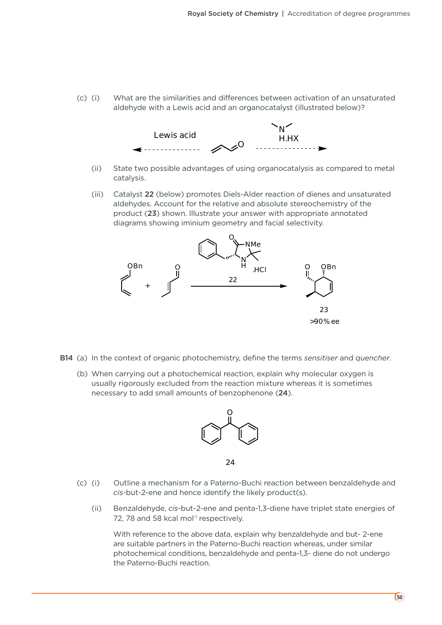(c) (i) What are the similarities and differences between activation of an unsaturated aldehyde with a Lewis acid and an organocatalyst (illustrated below)?



- (ii) State two possible advantages of using organocatalysis as compared to metal catalysis.
- (iii) Catalyst 22 (below) promotes Diels-Alder reaction of dienes and unsaturated aldehydes. Account for the relative and absolute stereochemistry of the product (23) shown. Illustrate your answer with appropriate annotated diagrams showing iminium geometry and facial selectivity.



- B14 (a) In the context of organic photochemistry, define the terms *sensitiser* and *quencher*.
	- (b) When carrying out a photochemical reaction, explain why molecular oxygen is usually rigorously excluded from the reaction mixture whereas it is sometimes necessary to add small amounts of benzophenone (24).



<sup>24</sup>

- (c) (i) Outline a mechanism for a Paterno-Buchi reaction between benzaldehyde and *cis*-but-2-ene and hence identify the likely product(s).
	- (ii) Benzaldehyde, *cis*-but-2-ene and penta-1,3-diene have triplet state energies of 72, 78 and 58 kcal mol<sup>-1</sup> respectively.

 With reference to the above data, explain why benzaldehyde and but- 2-ene are suitable partners in the Paterno-Buchi reaction whereas, under similar photochemical conditions, benzaldehyde and penta-1,3- diene do not undergo the Paterno-Buchi reaction.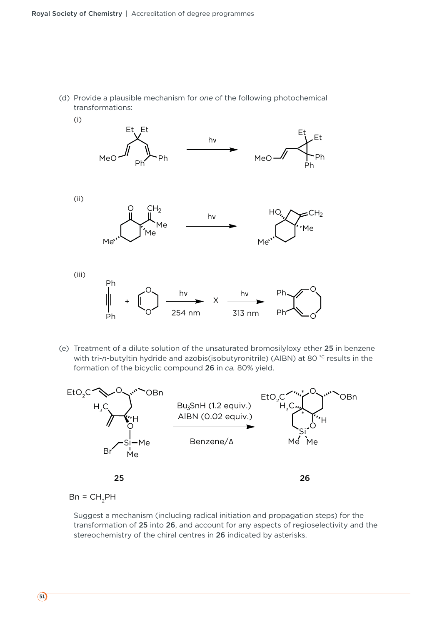



 (e) Treatment of a dilute solution of the unsaturated bromosilyloxy ether 25 in benzene with tri-*n*-butyltin hydride and azobis(isobutyronitrile) (AIBN) at 80<sup>°</sup>C results in the formation of the bicyclic compound 26 in *ca.* 80% yield.



 $Bn = CH<sub>2</sub>PH$ 

 Suggest a mechanism (including radical initiation and propagation steps) for the transformation of 25 into 26, and account for any aspects of regioselectivity and the stereochemistry of the chiral centres in 26 indicated by asterisks.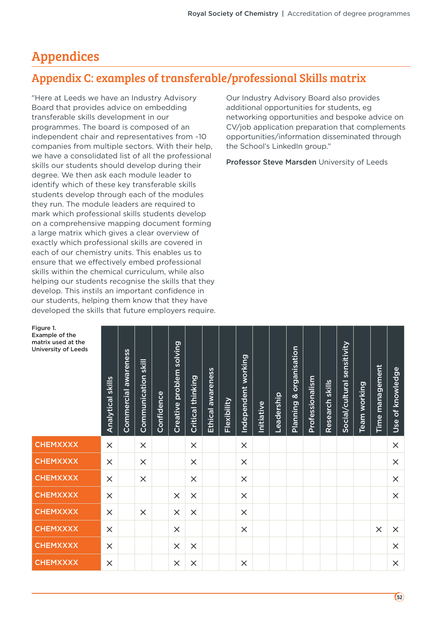# Appendices

Figure 1.

### Appendix C: examples of transferable/professional Skills matrix

"Here at Leeds we have an Industry Advisory Board that provides advice on embedding transferable skills development in our programmes. The board is composed of an independent chair and representatives from ~10 companies from multiple sectors. With their help, we have a consolidated list of all the professional skills our students should develop during their degree. We then ask each module leader to identify which of these key transferable skills students develop through each of the modules they run. The module leaders are required to mark which professional skills students develop on a comprehensive mapping document forming a large matrix which gives a clear overview of exactly which professional skills are covered in each of our chemistry units. This enables us to ensure that we effectively embed professional skills within the chemical curriculum, while also helping our students recognise the skills that they develop. This instils an important confidence in our students, helping them know that they have developed the skills that future employers require.

Our Industry Advisory Board also provides additional opportunities for students, eg networking opportunities and bespoke advice on CV/job application preparation that complements opportunities/information disseminated through the School's LinkedIn group."

Professor Steve Marsden University of Leeds

| <b>Analytical skills</b> | awareness<br><b>Commercial</b> | Communication skill | Confidence | solving<br>problem<br>Creative | Critical thinking | Ethical awareness | Flexibility | working<br>Independent | Initiative | Leadership | organisation<br>య<br><b>Planning</b> | Professionalism | Research skills | sensitivity<br>Social/cultural | working<br><b>Team</b> | management<br>Time <sub>1</sub> | of knowledge<br>Use |
|--------------------------|--------------------------------|---------------------|------------|--------------------------------|-------------------|-------------------|-------------|------------------------|------------|------------|--------------------------------------|-----------------|-----------------|--------------------------------|------------------------|---------------------------------|---------------------|
| $\times$                 |                                | $\times$            |            |                                | $\times$          |                   |             | $\times$               |            |            |                                      |                 |                 |                                |                        |                                 | $\times$            |
| $\times$                 |                                | $\times$            |            |                                | $\times$          |                   |             | $\times$               |            |            |                                      |                 |                 |                                |                        |                                 | $\times$            |
| $\times$                 |                                | $\times$            |            |                                | $\times$          |                   |             | $\times$               |            |            |                                      |                 |                 |                                |                        |                                 | $\times$            |
| $\times$                 |                                |                     |            | $\times$                       | $\times$          |                   |             | $\times$               |            |            |                                      |                 |                 |                                |                        |                                 | $\times$            |
| $\times$                 |                                | $\times$            |            | $\times$                       | $\times$          |                   |             | $\times$               |            |            |                                      |                 |                 |                                |                        |                                 |                     |
| $\times$                 |                                |                     |            | $\times$                       |                   |                   |             | $\times$               |            |            |                                      |                 |                 |                                |                        | $\times$                        | $\times$            |
| $\times$                 |                                |                     |            | $\times$                       | $\times$          |                   |             |                        |            |            |                                      |                 |                 |                                |                        |                                 | $\times$            |
| $\times$                 |                                |                     |            | $\times$                       | $\times$          |                   |             | $\times$               |            |            |                                      |                 |                 |                                |                        |                                 | $\times$            |
|                          |                                |                     |            |                                |                   |                   |             |                        |            |            |                                      |                 |                 |                                |                        |                                 |                     |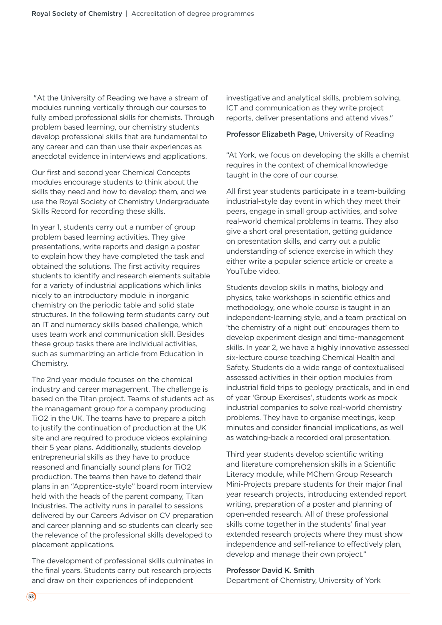"At the University of Reading we have a stream of modules running vertically through our courses to fully embed professional skills for chemists. Through problem based learning, our chemistry students develop professional skills that are fundamental to any career and can then use their experiences as anecdotal evidence in interviews and applications.

Our first and second year Chemical Concepts modules encourage students to think about the skills they need and how to develop them, and we use the Royal Society of Chemistry Undergraduate Skills Record for recording these skills.

In year 1, students carry out a number of group problem based learning activities. They give presentations, write reports and design a poster to explain how they have completed the task and obtained the solutions. The first activity requires students to identify and research elements suitable for a variety of industrial applications which links nicely to an introductory module in inorganic chemistry on the periodic table and solid state structures. In the following term students carry out an IT and numeracy skills based challenge, which uses team work and communication skill. Besides these group tasks there are individual activities, such as summarizing an article from Education in Chemistry.

The 2nd year module focuses on the chemical industry and career management. The challenge is based on the Titan project. Teams of students act as the management group for a company producing TiO2 in the UK. The teams have to prepare a pitch to justify the continuation of production at the UK site and are required to produce videos explaining their 5 year plans. Additionally, students develop entrepreneurial skills as they have to produce reasoned and financially sound plans for TiO2 production. The teams then have to defend their plans in an "Apprentice-style" board room interview held with the heads of the parent company, Titan Industries. The activity runs in parallel to sessions delivered by our Careers Advisor on CV preparation and career planning and so students can clearly see the relevance of the professional skills developed to placement applications.

The development of professional skills culminates in the final years. Students carry out research projects and draw on their experiences of independent

investigative and analytical skills, problem solving, ICT and communication as they write project reports, deliver presentations and attend vivas."

Professor Elizabeth Page, University of Reading

"At York, we focus on developing the skills a chemist requires in the context of chemical knowledge taught in the core of our course.

All first year students participate in a team-building industrial-style day event in which they meet their peers, engage in small group activities, and solve real-world chemical problems in teams. They also give a short oral presentation, getting guidance on presentation skills, and carry out a public understanding of science exercise in which they either write a popular science article or create a YouTube video.

Students develop skills in maths, biology and physics, take workshops in scientific ethics and methodology, one whole course is taught in an independent-learning style, and a team practical on 'the chemistry of a night out' encourages them to develop experiment design and time-management skills. In year 2, we have a highly innovative assessed six-lecture course teaching Chemical Health and Safety. Students do a wide range of contextualised assessed activities in their option modules from industrial field trips to geology practicals, and in end of year 'Group Exercises', students work as mock industrial companies to solve real-world chemistry problems. They have to organise meetings, keep minutes and consider financial implications, as well as watching-back a recorded oral presentation.

Third year students develop scientific writing and literature comprehension skills in a Scientific Literacy module, while MChem Group Research Mini-Projects prepare students for their major final year research projects, introducing extended report writing, preparation of a poster and planning of open-ended research. All of these professional skills come together in the students' final year extended research projects where they must show independence and self-reliance to effectively plan, develop and manage their own project."

#### Professor David K. Smith

Department of Chemistry, University of York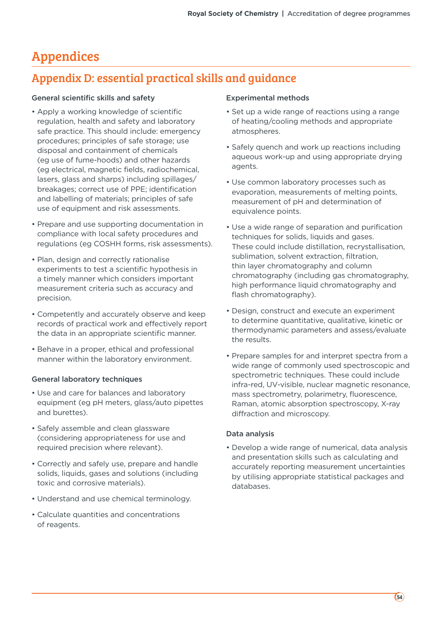# Appendices

### Appendix D: essential practical skills and guidance

#### General scientific skills and safety

- Apply a working knowledge of scientific regulation, health and safety and laboratory safe practice. This should include: emergency procedures; principles of safe storage; use disposal and containment of chemicals (eg use of fume-hoods) and other hazards (eg electrical, magnetic fields, radiochemical, lasers, glass and sharps) including spillages/ breakages; correct use of PPE; identification and labelling of materials; principles of safe use of equipment and risk assessments.
- Prepare and use supporting documentation in compliance with local safety procedures and regulations (eg COSHH forms, risk assessments).
- Plan, design and correctly rationalise experiments to test a scientific hypothesis in a timely manner which considers important measurement criteria such as accuracy and precision.
- Competently and accurately observe and keep records of practical work and effectively report the data in an appropriate scientific manner.
- Behave in a proper, ethical and professional manner within the laboratory environment.

#### General laboratory techniques

- Use and care for balances and laboratory equipment (eg pH meters, glass/auto pipettes and burettes).
- Safely assemble and clean glassware (considering appropriateness for use and required precision where relevant).
- Correctly and safely use, prepare and handle solids, liquids, gases and solutions (including toxic and corrosive materials).
- Understand and use chemical terminology.
- Calculate quantities and concentrations of reagents.

#### Experimental methods

- Set up a wide range of reactions using a range of heating/cooling methods and appropriate atmospheres.
- Safely quench and work up reactions including aqueous work-up and using appropriate drying agents.
- Use common laboratory processes such as evaporation, measurements of melting points, measurement of pH and determination of equivalence points.
- Use a wide range of separation and purification techniques for solids, liquids and gases. These could include distillation, recrystallisation, sublimation, solvent extraction, filtration, thin layer chromatography and column chromatography (including gas chromatography, high performance liquid chromatography and flash chromatography).
- Design, construct and execute an experiment to determine quantitative, qualitative, kinetic or thermodynamic parameters and assess/evaluate the results.
- Prepare samples for and interpret spectra from a wide range of commonly used spectroscopic and spectrometric techniques. These could include infra-red, UV-visible, nuclear magnetic resonance, mass spectrometry, polarimetry, fluorescence, Raman, atomic absorption spectroscopy, X-ray diffraction and microscopy.

#### Data analysis

• Develop a wide range of numerical, data analysis and presentation skills such as calculating and accurately reporting measurement uncertainties by utilising appropriate statistical packages and databases.